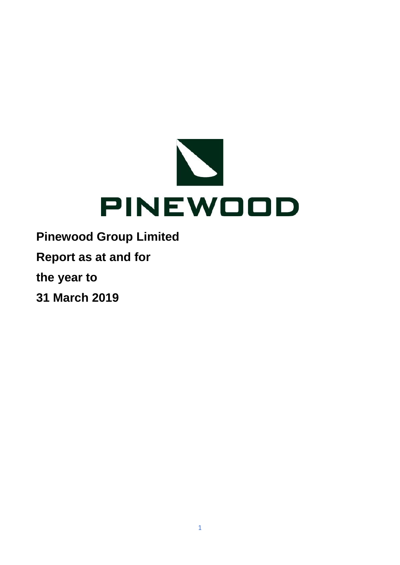

**Report as at and for**

**the year to**

**31 March 2019**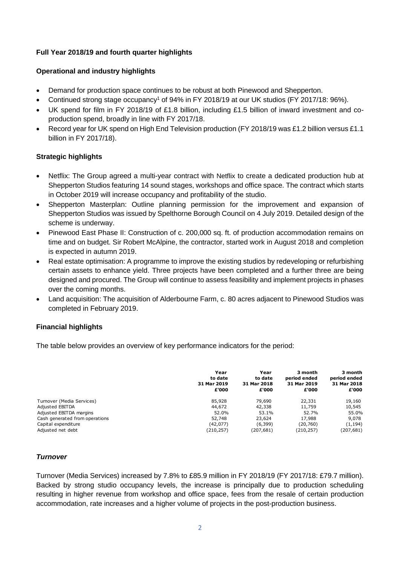# **Full Year 2018/19 and fourth quarter highlights**

# **Operational and industry highlights**

- Demand for production space continues to be robust at both Pinewood and Shepperton.
- Continued strong stage occupancy<sup>1</sup> of 94% in FY 2018/19 at our UK studios (FY 2017/18: 96%).
- UK spend for film in FY 2018/19 of £1.8 billion, including £1.5 billion of inward investment and coproduction spend, broadly in line with FY 2017/18.
- Record year for UK spend on High End Television production (FY 2018/19 was £1.2 billion versus £1.1 billion in FY 2017/18).

# **Strategic highlights**

- Netflix: The Group agreed a multi-year contract with Netflix to create a dedicated production hub at Shepperton Studios featuring 14 sound stages, workshops and office space. The contract which starts in October 2019 will increase occupancy and profitability of the studio.
- Shepperton Masterplan: Outline planning permission for the improvement and expansion of Shepperton Studios was issued by Spelthorne Borough Council on 4 July 2019. Detailed design of the scheme is underway.
- Pinewood East Phase II: Construction of c. 200,000 sq. ft. of production accommodation remains on time and on budget. Sir Robert McAlpine, the contractor, started work in August 2018 and completion is expected in autumn 2019.
- Real estate optimisation: A programme to improve the existing studios by redeveloping or refurbishing certain assets to enhance yield. Three projects have been completed and a further three are being designed and procured. The Group will continue to assess feasibility and implement projects in phases over the coming months.
- Land acquisition: The acquisition of Alderbourne Farm, c. 80 acres adjacent to Pinewood Studios was completed in February 2019.

# **Financial highlights**

The table below provides an overview of key performance indicators for the period:

|                                | Year<br>to date<br>31 Mar 2019<br>£'000 | Year<br>to date<br>31 Mar 2018<br>£'000 | 3 month<br>period ended<br>31 Mar 2019<br>£'000 | 3 month<br>period ended<br>31 Mar 2018<br>£'000 |
|--------------------------------|-----------------------------------------|-----------------------------------------|-------------------------------------------------|-------------------------------------------------|
| Turnover (Media Services)      | 85,928                                  | 79,690                                  | 22,331                                          | 19,160                                          |
| Adjusted EBITDA                | 44,672                                  | 42,338                                  | 11,759                                          | 10,545                                          |
| Adjusted EBITDA margins        | 52.0%                                   | 53.1%                                   | 52.7%                                           | 55.0%                                           |
| Cash generated from operations | 52,748                                  | 23,624                                  | 17,988                                          | 9,078                                           |
| Capital expenditure            | (42,077)                                | (6, 399)                                | (20,760)                                        | (1, 194)                                        |
| Adjusted net debt              | (210, 257)                              | (207,681)                               | (210,257)                                       | (207,681)                                       |

# *Turnover*

Turnover (Media Services) increased by 7.8% to £85.9 million in FY 2018/19 (FY 2017/18: £79.7 million). Backed by strong studio occupancy levels, the increase is principally due to production scheduling resulting in higher revenue from workshop and office space, fees from the resale of certain production accommodation, rate increases and a higher volume of projects in the post-production business.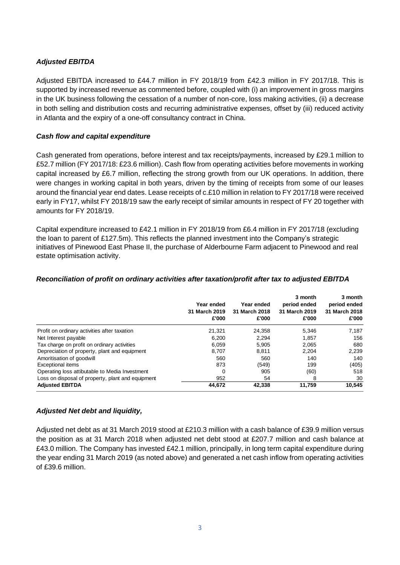# *Adjusted EBITDA*

Adjusted EBITDA increased to £44.7 million in FY 2018/19 from £42.3 million in FY 2017/18. This is supported by increased revenue as commented before, coupled with (i) an improvement in gross margins in the UK business following the cessation of a number of non-core, loss making activities, (ii) a decrease in both selling and distribution costs and recurring administrative expenses, offset by (iii) reduced activity in Atlanta and the expiry of a one-off consultancy contract in China.

# *Cash flow and capital expenditure*

Cash generated from operations, before interest and tax receipts/payments, increased by £29.1 million to £52.7 million (FY 2017/18: £23.6 million). Cash flow from operating activities before movements in working capital increased by £6.7 million, reflecting the strong growth from our UK operations. In addition, there were changes in working capital in both years, driven by the timing of receipts from some of our leases around the financial year end dates. Lease receipts of c.£10 million in relation to FY 2017/18 were received early in FY17, whilst FY 2018/19 saw the early receipt of similar amounts in respect of FY 20 together with amounts for FY 2018/19.

Capital expenditure increased to £42.1 million in FY 2018/19 from £6.4 million in FY 2017/18 (excluding the loan to parent of £127.5m). This reflects the planned investment into the Company's strategic initiatives of Pinewood East Phase II, the purchase of Alderbourne Farm adjacent to Pinewood and real estate optimisation activity.

|                                                   | Year ended<br>31 March 2019<br>£'000 | Year ended<br>31 March 2018<br>£'000 | 3 month<br>period ended<br>31 March 2019<br>£'000 | 3 month<br>period ended<br>31 March 2018<br>£'000 |
|---------------------------------------------------|--------------------------------------|--------------------------------------|---------------------------------------------------|---------------------------------------------------|
| Profit on ordinary activities after taxation      | 21,321                               | 24,358                               | 5.346                                             | 7.187                                             |
| Net Interest payable                              | 6.200                                | 2.294                                | 1.857                                             | 156                                               |
| Tax charge on profit on ordinary activities       | 6.059                                | 5.905                                | 2.065                                             | 680                                               |
| Depreciation of property, plant and equipment     | 8.707                                | 8.811                                | 2.204                                             | 2,239                                             |
| Amoritisation of goodwill                         | 560                                  | 560                                  | 140                                               | 140                                               |
| <b>Exceptional items</b>                          | 873                                  | (549)                                | 199                                               | (405)                                             |
| Operating loss attibutable to Media Investment    | $\Omega$                             | 905                                  | (60)                                              | 518                                               |
| Loss on disposal of property, plant and equipment | 952                                  | 54                                   | 8                                                 | 30                                                |
| <b>Adjusted EBITDA</b>                            | 44,672                               | 42.338                               | 11.759                                            | 10,545                                            |

# *Reconciliation of profit on ordinary activities after taxation/profit after tax to adjusted EBITDA*

# *Adjusted Net debt and liquidity,*

Adjusted net debt as at 31 March 2019 stood at £210.3 million with a cash balance of £39.9 million versus the position as at 31 March 2018 when adjusted net debt stood at £207.7 million and cash balance at £43.0 million. The Company has invested £42.1 million, principally, in long term capital expenditure during the year ending 31 March 2019 (as noted above) and generated a net cash inflow from operating activities of £39.6 million.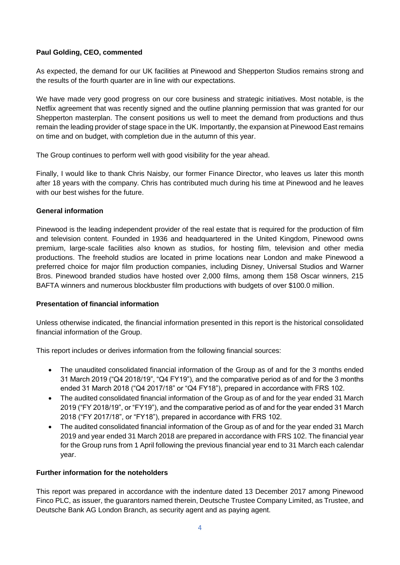# **Paul Golding, CEO, commented**

As expected, the demand for our UK facilities at Pinewood and Shepperton Studios remains strong and the results of the fourth quarter are in line with our expectations.

We have made very good progress on our core business and strategic initiatives. Most notable, is the Netflix agreement that was recently signed and the outline planning permission that was granted for our Shepperton masterplan. The consent positions us well to meet the demand from productions and thus remain the leading provider of stage space in the UK. Importantly, the expansion at Pinewood East remains on time and on budget, with completion due in the autumn of this year.

The Group continues to perform well with good visibility for the year ahead.

Finally, I would like to thank Chris Naisby, our former Finance Director, who leaves us later this month after 18 years with the company. Chris has contributed much during his time at Pinewood and he leaves with our best wishes for the future.

# **General information**

Pinewood is the leading independent provider of the real estate that is required for the production of film and television content. Founded in 1936 and headquartered in the United Kingdom, Pinewood owns premium, large-scale facilities also known as studios, for hosting film, television and other media productions. The freehold studios are located in prime locations near London and make Pinewood a preferred choice for major film production companies, including Disney, Universal Studios and Warner Bros. Pinewood branded studios have hosted over 2,000 films, among them 158 Oscar winners, 215 BAFTA winners and numerous blockbuster film productions with budgets of over \$100.0 million.

# **Presentation of financial information**

Unless otherwise indicated, the financial information presented in this report is the historical consolidated financial information of the Group.

This report includes or derives information from the following financial sources:

- The unaudited consolidated financial information of the Group as of and for the 3 months ended 31 March 2019 ("Q4 2018/19", "Q4 FY19"), and the comparative period as of and for the 3 months ended 31 March 2018 ("Q4 2017/18" or "Q4 FY18"), prepared in accordance with FRS 102.
- The audited consolidated financial information of the Group as of and for the year ended 31 March 2019 ("FY 2018/19", or "FY19"), and the comparative period as of and for the year ended 31 March 2018 ("FY 2017/18", or "FY18"), prepared in accordance with FRS 102.
- The audited consolidated financial information of the Group as of and for the year ended 31 March 2019 and year ended 31 March 2018 are prepared in accordance with FRS 102. The financial year for the Group runs from 1 April following the previous financial year end to 31 March each calendar year.

# **Further information for the noteholders**

This report was prepared in accordance with the indenture dated 13 December 2017 among Pinewood Finco PLC, as issuer, the guarantors named therein, Deutsche Trustee Company Limited, as Trustee, and Deutsche Bank AG London Branch, as security agent and as paying agent.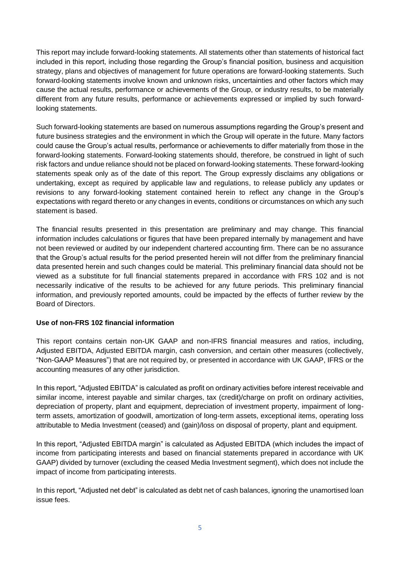This report may include forward-looking statements. All statements other than statements of historical fact included in this report, including those regarding the Group's financial position, business and acquisition strategy, plans and objectives of management for future operations are forward-looking statements. Such forward-looking statements involve known and unknown risks, uncertainties and other factors which may cause the actual results, performance or achievements of the Group, or industry results, to be materially different from any future results, performance or achievements expressed or implied by such forwardlooking statements.

Such forward-looking statements are based on numerous assumptions regarding the Group's present and future business strategies and the environment in which the Group will operate in the future. Many factors could cause the Group's actual results, performance or achievements to differ materially from those in the forward-looking statements. Forward-looking statements should, therefore, be construed in light of such risk factors and undue reliance should not be placed on forward-looking statements. These forward-looking statements speak only as of the date of this report. The Group expressly disclaims any obligations or undertaking, except as required by applicable law and regulations, to release publicly any updates or revisions to any forward-looking statement contained herein to reflect any change in the Group's expectations with regard thereto or any changes in events, conditions or circumstances on which any such statement is based.

The financial results presented in this presentation are preliminary and may change. This financial information includes calculations or figures that have been prepared internally by management and have not been reviewed or audited by our independent chartered accounting firm. There can be no assurance that the Group's actual results for the period presented herein will not differ from the preliminary financial data presented herein and such changes could be material. This preliminary financial data should not be viewed as a substitute for full financial statements prepared in accordance with FRS 102 and is not necessarily indicative of the results to be achieved for any future periods. This preliminary financial information, and previously reported amounts, could be impacted by the effects of further review by the Board of Directors.

# **Use of non-FRS 102 financial information**

This report contains certain non-UK GAAP and non-IFRS financial measures and ratios, including, Adjusted EBITDA, Adjusted EBITDA margin, cash conversion, and certain other measures (collectively, "Non-GAAP Measures") that are not required by, or presented in accordance with UK GAAP, IFRS or the accounting measures of any other jurisdiction.

In this report, "Adjusted EBITDA" is calculated as profit on ordinary activities before interest receivable and similar income, interest payable and similar charges, tax (credit)/charge on profit on ordinary activities, depreciation of property, plant and equipment, depreciation of investment property, impairment of longterm assets, amortization of goodwill, amortization of long-term assets, exceptional items, operating loss attributable to Media Investment (ceased) and (gain)/loss on disposal of property, plant and equipment.

In this report, "Adjusted EBITDA margin" is calculated as Adjusted EBITDA (which includes the impact of income from participating interests and based on financial statements prepared in accordance with UK GAAP) divided by turnover (excluding the ceased Media Investment segment), which does not include the impact of income from participating interests.

In this report, "Adjusted net debt" is calculated as debt net of cash balances, ignoring the unamortised loan issue fees.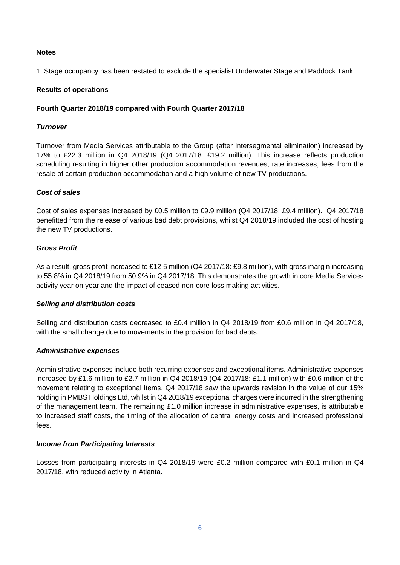# **Notes**

1. Stage occupancy has been restated to exclude the specialist Underwater Stage and Paddock Tank.

# **Results of operations**

# **Fourth Quarter 2018/19 compared with Fourth Quarter 2017/18**

# *Turnover*

Turnover from Media Services attributable to the Group (after intersegmental elimination) increased by 17% to £22.3 million in Q4 2018/19 (Q4 2017/18: £19.2 million). This increase reflects production scheduling resulting in higher other production accommodation revenues, rate increases, fees from the resale of certain production accommodation and a high volume of new TV productions.

# *Cost of sales*

Cost of sales expenses increased by £0.5 million to £9.9 million (Q4 2017/18: £9.4 million). Q4 2017/18 benefitted from the release of various bad debt provisions, whilst Q4 2018/19 included the cost of hosting the new TV productions.

# *Gross Profit*

As a result, gross profit increased to £12.5 million (Q4 2017/18: £9.8 million), with gross margin increasing to 55.8% in Q4 2018/19 from 50.9% in Q4 2017/18. This demonstrates the growth in core Media Services activity year on year and the impact of ceased non-core loss making activities.

# *Selling and distribution costs*

Selling and distribution costs decreased to £0.4 million in Q4 2018/19 from £0.6 million in Q4 2017/18, with the small change due to movements in the provision for bad debts.

# *Administrative expenses*

Administrative expenses include both recurring expenses and exceptional items. Administrative expenses increased by £1.6 million to £2.7 million in Q4 2018/19 (Q4 2017/18: £1.1 million) with £0.6 million of the movement relating to exceptional items. Q4 2017/18 saw the upwards revision in the value of our 15% holding in PMBS Holdings Ltd, whilst in Q4 2018/19 exceptional charges were incurred in the strengthening of the management team. The remaining £1.0 million increase in administrative expenses, is attributable to increased staff costs, the timing of the allocation of central energy costs and increased professional fees.

# *Income from Participating Interests*

Losses from participating interests in Q4 2018/19 were £0.2 million compared with £0.1 million in Q4 2017/18, with reduced activity in Atlanta.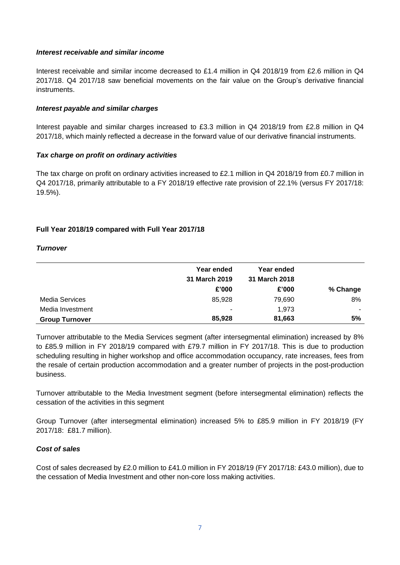# *Interest receivable and similar income*

Interest receivable and similar income decreased to £1.4 million in Q4 2018/19 from £2.6 million in Q4 2017/18. Q4 2017/18 saw beneficial movements on the fair value on the Group's derivative financial instruments.

# *Interest payable and similar charges*

Interest payable and similar charges increased to £3.3 million in Q4 2018/19 from £2.8 million in Q4 2017/18, which mainly reflected a decrease in the forward value of our derivative financial instruments.

# *Tax charge on profit on ordinary activities*

The tax charge on profit on ordinary activities increased to £2.1 million in Q4 2018/19 from £0.7 million in Q4 2017/18, primarily attributable to a FY 2018/19 effective rate provision of 22.1% (versus FY 2017/18: 19.5%).

# **Full Year 2018/19 compared with Full Year 2017/18**

# *Turnover*

|                       | Year ended    | Year ended    |                          |
|-----------------------|---------------|---------------|--------------------------|
|                       | 31 March 2019 | 31 March 2018 |                          |
|                       | £'000         | £'000         | % Change                 |
| Media Services        | 85,928        | 79,690        | 8%                       |
| Media Investment      | ۰             | 1.973         | $\overline{\phantom{0}}$ |
| <b>Group Turnover</b> | 85,928        | 81,663        | 5%                       |

Turnover attributable to the Media Services segment (after intersegmental elimination) increased by 8% to £85.9 million in FY 2018/19 compared with £79.7 million in FY 2017/18. This is due to production scheduling resulting in higher workshop and office accommodation occupancy, rate increases, fees from the resale of certain production accommodation and a greater number of projects in the post-production business.

Turnover attributable to the Media Investment segment (before intersegmental elimination) reflects the cessation of the activities in this segment

Group Turnover (after intersegmental elimination) increased 5% to £85.9 million in FY 2018/19 (FY 2017/18: £81.7 million).

# *Cost of sales*

Cost of sales decreased by £2.0 million to £41.0 million in FY 2018/19 (FY 2017/18: £43.0 million), due to the cessation of Media Investment and other non-core loss making activities.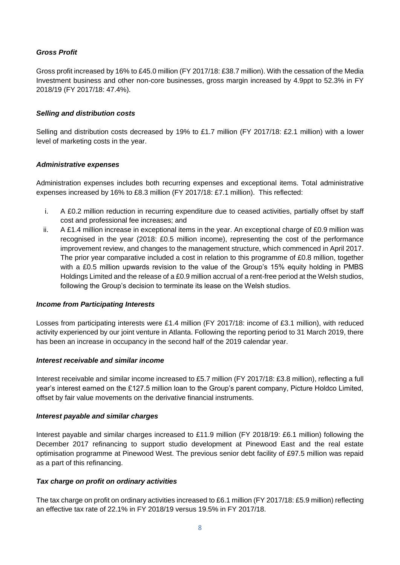# *Gross Profit*

Gross profit increased by 16% to £45.0 million (FY 2017/18: £38.7 million). With the cessation of the Media Investment business and other non-core businesses, gross margin increased by 4.9ppt to 52.3% in FY 2018/19 (FY 2017/18: 47.4%).

# *Selling and distribution costs*

Selling and distribution costs decreased by 19% to £1.7 million (FY 2017/18: £2.1 million) with a lower level of marketing costs in the year.

# *Administrative expenses*

Administration expenses includes both recurring expenses and exceptional items. Total administrative expenses increased by 16% to £8.3 million (FY 2017/18: £7.1 million). This reflected:

- i. A £0.2 million reduction in recurring expenditure due to ceased activities, partially offset by staff cost and professional fee increases; and
- ii. A £1.4 million increase in exceptional items in the year. An exceptional charge of £0.9 million was recognised in the year (2018: £0.5 million income), representing the cost of the performance improvement review, and changes to the management structure, which commenced in April 2017. The prior year comparative included a cost in relation to this programme of £0.8 million, together with a £0.5 million upwards revision to the value of the Group's 15% equity holding in PMBS Holdings Limited and the release of a £0.9 million accrual of a rent-free period at the Welsh studios, following the Group's decision to terminate its lease on the Welsh studios.

# *Income from Participating Interests*

Losses from participating interests were £1.4 million (FY 2017/18: income of £3.1 million), with reduced activity experienced by our joint venture in Atlanta. Following the reporting period to 31 March 2019, there has been an increase in occupancy in the second half of the 2019 calendar year.

# *Interest receivable and similar income*

Interest receivable and similar income increased to £5.7 million (FY 2017/18: £3.8 million), reflecting a full year's interest earned on the £127.5 million loan to the Group's parent company, Picture Holdco Limited, offset by fair value movements on the derivative financial instruments.

# *Interest payable and similar charges*

Interest payable and similar charges increased to £11.9 million (FY 2018/19: £6.1 million) following the December 2017 refinancing to support studio development at Pinewood East and the real estate optimisation programme at Pinewood West. The previous senior debt facility of £97.5 million was repaid as a part of this refinancing.

# *Tax charge on profit on ordinary activities*

The tax charge on profit on ordinary activities increased to £6.1 million (FY 2017/18: £5.9 million) reflecting an effective tax rate of 22.1% in FY 2018/19 versus 19.5% in FY 2017/18.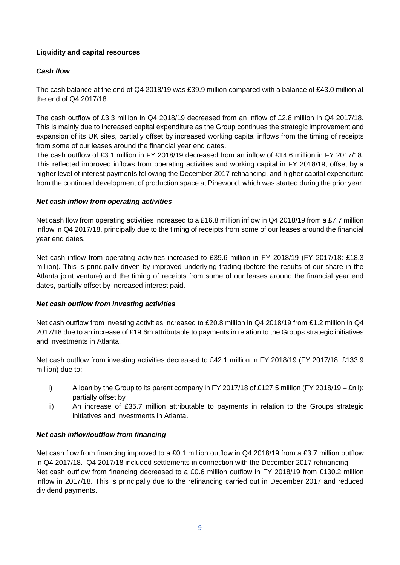# **Liquidity and capital resources**

# *Cash flow*

The cash balance at the end of Q4 2018/19 was £39.9 million compared with a balance of £43.0 million at the end of Q4 2017/18.

The cash outflow of £3.3 million in Q4 2018/19 decreased from an inflow of £2.8 million in Q4 2017/18. This is mainly due to increased capital expenditure as the Group continues the strategic improvement and expansion of its UK sites, partially offset by increased working capital inflows from the timing of receipts from some of our leases around the financial year end dates.

The cash outflow of £3.1 million in FY 2018/19 decreased from an inflow of £14.6 million in FY 2017/18. This reflected improved inflows from operating activities and working capital in FY 2018/19, offset by a higher level of interest payments following the December 2017 refinancing, and higher capital expenditure from the continued development of production space at Pinewood, which was started during the prior year.

# *Net cash inflow from operating activities*

Net cash flow from operating activities increased to a £16.8 million inflow in Q4 2018/19 from a £7.7 million inflow in Q4 2017/18, principally due to the timing of receipts from some of our leases around the financial year end dates.

Net cash inflow from operating activities increased to £39.6 million in FY 2018/19 (FY 2017/18: £18.3 million). This is principally driven by improved underlying trading (before the results of our share in the Atlanta joint venture) and the timing of receipts from some of our leases around the financial year end dates, partially offset by increased interest paid.

# *Net cash outflow from investing activities*

Net cash outflow from investing activities increased to £20.8 million in Q4 2018/19 from £1.2 million in Q4 2017/18 due to an increase of £19.6m attributable to payments in relation to the Groups strategic initiatives and investments in Atlanta.

Net cash outflow from investing activities decreased to £42.1 million in FY 2018/19 (FY 2017/18: £133.9 million) due to:

- i) A loan by the Group to its parent company in FY 2017/18 of £127.5 million (FY 2018/19 £nil); partially offset by
- ii) An increase of £35.7 million attributable to payments in relation to the Groups strategic initiatives and investments in Atlanta.

# *Net cash inflow/outflow from financing*

Net cash flow from financing improved to a £0.1 million outflow in Q4 2018/19 from a £3.7 million outflow in Q4 2017/18. Q4 2017/18 included settlements in connection with the December 2017 refinancing. Net cash outflow from financing decreased to a £0.6 million outflow in FY 2018/19 from £130.2 million inflow in 2017/18. This is principally due to the refinancing carried out in December 2017 and reduced dividend payments.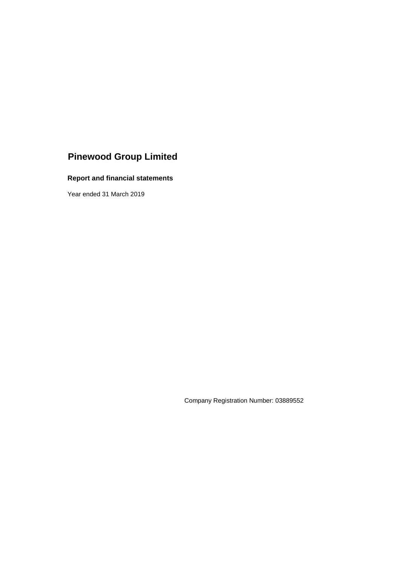# **Report and financial statements**

Year ended 31 March 2019

Company Registration Number: 03889552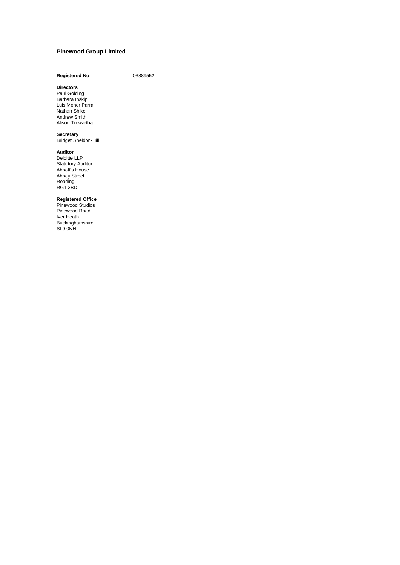# **Registered No:** 03889552

#### **Directors**

Paul Golding Barbara Inskip Luis Moner Parra Nathan Shike Andrew Smith Alison Trewartha

# **Secretary**

Bridget Sheldon-Hill

## **Auditor**

Deloitte LLP Statutory Auditor Abbott's House Abbey Street Reading RG1 3BD

#### **Registered Office**

Pinewood Studios Pinewood Road Iver Heath Buckinghamshire SL0 0NH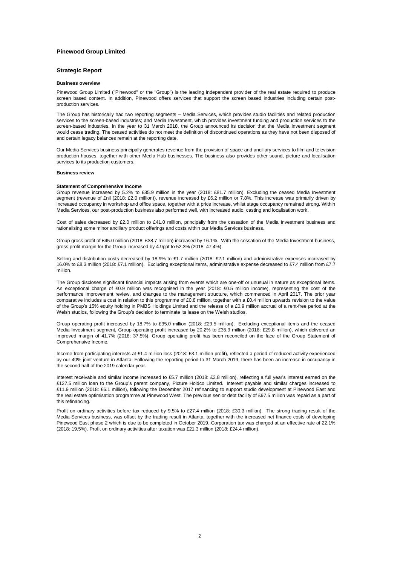### **Strategic Report**

#### **Business overview**

Pinewood Group Limited ("Pinewood" or the "Group") is the leading independent provider of the real estate required to produce screen based content. In addition, Pinewood offers services that support the screen based industries including certain postproduction services.

The Group has historically had two reporting segments – Media Services, which provides studio facilities and related production services to the screen-based industries; and Media Investment, which provides investment funding and production services to the screen-based industries. In the year to 31 March 2018, the Group announced its decision that the Media Investment segment would cease trading. The ceased activities do not meet the definition of discontinued operations as they have not been disposed of and certain legacy balances remain at the reporting date.

Our Media Services business principally generates revenue from the provision of space and ancillary services to film and television production houses, together with other Media Hub businesses. The business also provides other sound, picture and localisation services to its production customers.

#### **Business review**

#### **Statement of Comprehensive Income**

Group revenue increased by 5.2% to £85.9 million in the year (2018: £81.7 million). Excluding the ceased Media Investment segment (revenue of £nil (2018: £2.0 million)), revenue increased by £6.2 million or 7.8%. This increase was primarily driven by increased occupancy in workshop and office space, together with a price increase, whilst stage occupancy remained strong. Within Media Services, our post-production business also performed well, with increased audio, casting and localisation work.

Cost of sales decreased by £2.0 million to £41.0 million, principally from the cessation of the Media Investment business and rationalising some minor ancillary product offerings and costs within our Media Services business.

Group gross profit of £45.0 million (2018: £38.7 million) increased by 16.1%. With the cessation of the Media Investment business, gross profit margin for the Group increased by 4.9ppt to 52.3% (2018: 47.4%).

Selling and distribution costs decreased by 18.9% to £1.7 million (2018: £2.1 million) and administrative expenses increased by 16.0% to £8.3 million (2018: £7.1 million). Excluding exceptional items, administrative expense decreased to £7.4 million from £7.7 million.

The Group discloses significant financial impacts arising from events which are one-off or unusual in nature as exceptional items. An exceptional charge of £0.9 million was recognised in the year (2018: £0.5 million income), representing the cost of the performance improvement review, and changes to the management structure, which commenced in April 2017. The prior year comparative includes a cost in relation to this programme of £0.8 million, together with a £0.4 million upwards revision to the value of the Group's 15% equity holding in PMBS Holdings Limited and the release of a £0.9 million accrual of a rent-free period at the Welsh studios, following the Group's decision to terminate its lease on the Welsh studios.

Group operating profit increased by 18.7% to £35.0 million (2018: £29.5 million). Excluding exceptional items and the ceased Media Investment segment, Group operating profit increased by 20.2% to £35.9 million (2018: £29.8 million), which delivered an improved margin of 41.7% (2018: 37.5%). Group operating profit has been reconciled on the face of the Group Statement of Comprehensive Income.

Income from participating interests at £1.4 million loss (2018: £3.1 million profit), reflected a period of reduced activity experienced by our 40% joint venture in Atlanta. Following the reporting period to 31 March 2019, there has been an increase in occupancy in the second half of the 2019 calendar year.

Interest receivable and similar income increased to £5.7 million (2018: £3.8 million), reflecting a full year's interest earned on the £127.5 million loan to the Group's parent company, Picture Holdco Limited. Interest payable and similar charges increased to £11.9 million (2018: £6.1 million), following the December 2017 refinancing to support studio development at Pinewood East and the real estate optimisation programme at Pinewood West. The previous senior debt facility of £97.5 million was repaid as a part of this refinancing.

Profit on ordinary activities before tax reduced by 9.5% to £27.4 million (2018: £30.3 million). The strong trading result of the Media Services business, was offset by the trading result in Atlanta, together with the increased net finance costs of developing Pinewood East phase 2 which is due to be completed in October 2019. Corporation tax was charged at an effective rate of 22.1% (2018: 19.5%). Profit on ordinary activities after taxation was £21.3 million (2018: £24.4 million).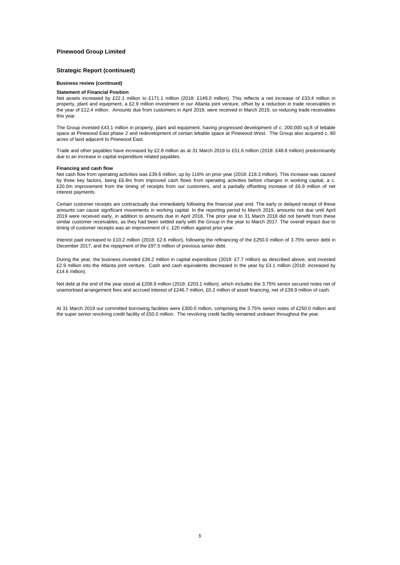### **Strategic Report (continued)**

#### **Business review (continued)**

### **Statement of Financial Position**

Net assets increased by £22.1 million to £171.1 million (2018: £149.0 million). This reflects a net increase of £33.4 million in property, plant and equipment, a £2.9 million investment in our Atlanta joint venture, offset by a reduction in trade receivables in the year of £12.4 million. Amounts due from customers in April 2019, were received in March 2019, so reducing trade receivables this year.

The Group invested £43.1 million in property, plant and equipment, having progressed development of c. 200,000 sq.ft of lettable space at Pinewood East phase 2 and redevelopment of certain lettable space at Pinewood West. The Group also acquired c. 80 acres of land adjacent to Pinewood East.

Trade and other payables have increased by £2.8 million as at 31 March 2019 to £51.6 million (2018: £48.8 million) predominantly due to an increase in capital expenditure related payables.

### **Financing and cash flow**

Net cash flow from operating activities was £39.6 million, up by 116% on prior year (2018: £18.3 million). This increase was caused by three key factors, being £6.8m from improved cash flows from operating activities before changes in working capital, a c. £20.0m improvement from the timing of receipts from our customers, and a partially offsetting increase of £6.9 million of net interest payments.

Certain customer receipts are contractually due immediately following the financial year end. The early or delayed receipt of these amounts can cause significant movements in working capital. In the reporting period to March 2019, amounts not due until April 2019 were received early, in addition to amounts due in April 2018. The prior year to 31 March 2018 did not benefit from these similar customer receivables, as they had been settled early with the Group in the year to March 2017. The overall impact due to timing of customer receipts was an improvement of c. £20 million against prior year.

Interest paid increased to £10.2 million (2018: £2.6 million), following the refinancing of the £250.0 million of 3.75% senior debt in December 2017, and the repayment of the £97.5 million of previous senior debt.

During the year, the business invested £39.2 million in capital expenditure (2018: £7.7 million) as described above, and invested £2.9 million into the Atlanta joint venture. Cash and cash equivalents decreased in the year by £3.1 million (2018: increased by £14.6 million).

Net debt at the end of the year stood at £206.9 million (2018: £203.1 million), which includes the 3.75% senior secured notes net of unamortised arrangement fees and accrued interest of £246.7 million, £0.2 million of asset financing, net of £39.9 million of cash.

At 31 March 2019 our committed borrowing facilities were £300.0 million, comprising the 3.75% senior notes of £250.0 million and the super senior revolving credit facility of £50.0 million. The revolving credit facility remained undrawn throughout the year.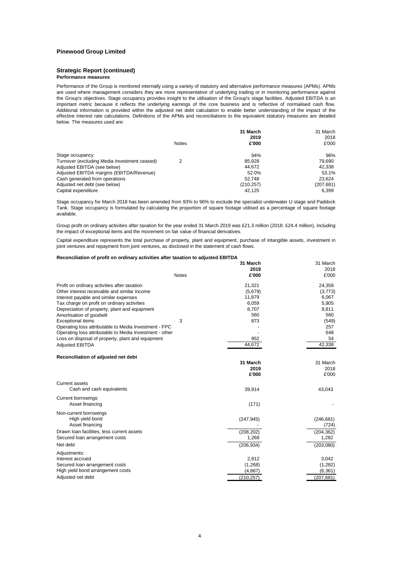### **Strategic Report (continued) Performance measures**

Performance of the Group is monitored internally using a variety of statutory and alternative performance measures (APMs). APMs are used where management considers they are more representative of underlying trading or in monitoring performance against the Group's objectives. Stage occupancy provides insight to the utilisation of the Group's stage facilities. Adjusted EBITDA is an important metric because it reflects the underlying earnings of the core business and is reflective of normalised cash flow. Additional information is provided within the adjusted net debt calculation to enable better understanding of the impact of the effective interest rate calculations. Definitions of the APMs and reconciliations to the equivalent statutory measures are detailed below. The measures used are:

|                                              |              | 31 March   | 31 March   |
|----------------------------------------------|--------------|------------|------------|
|                                              |              | 2019       | 2018       |
|                                              | <b>Notes</b> | £'000      | £'000      |
| Stage occupancy                              |              | 94%        | 96%        |
| Turnover (excluding Media Investment ceased) | 2            | 85.928     | 79.690     |
| Adjusted EBITDA (see below)                  |              | 44.672     | 42.338     |
| Adjusted EBITDA margins (EBITDA/Revenue)     |              | 52.0%      | 53.1%      |
| Cash generated from operations               |              | 52.748     | 23.624     |
| Adjusted net debt (see below)                |              | (210, 257) | (207, 681) |
| Capital expenditure                          |              | 42.125     | 6.399      |

Stage occupancy for March 2018 has been amended from 93% to 96% to exclude the specialist underwater U stage and Paddock Tank. Stage occupancy is formulated by calculating the proportion of square footage utilised as a percentage of square footage available.

Group profit on ordinary activities after taxation for the year ended 31 March 2019 was £21.3 million (2018: £24.4 million), including the impact of exceptional items and the movement on fair value of financial derivatives.

Capital expenditure represents the total purchase of property, plant and equipment, purchase of intangible assets, investment in joint ventures and repayment from joint ventures, as disclosed in the statement of cash flows.

# **Reconciliation of profit on ordinary activities after taxation to adjusted EBITDA**

| <u>Reconciliation of profit on ordinary activities after taxation to aujusted</u> |              |            |            |
|-----------------------------------------------------------------------------------|--------------|------------|------------|
|                                                                                   |              | 31 March   | 31 March   |
|                                                                                   |              | 2019       | 2018       |
|                                                                                   | <b>Notes</b> | £'000      | £'000      |
| Profit on ordinary activities after taxation                                      |              | 21,321     | 24,358     |
| Other interest receivable and similar income                                      |              | (5,679)    | (3,773)    |
| Interest payable and similar expenses                                             |              | 11,879     | 6,067      |
| Tax charge on profit on ordinary activities                                       |              | 6,059      | 5,905      |
| Depreciation of property, plant and equipment                                     |              | 8,707      | 8,811      |
| Amortisation of goodwill                                                          |              | 560        | 560        |
| <b>Exceptional items</b>                                                          | 3            | 873        | (549)      |
| Operating loss attributable to Media Investment - FPC                             |              |            | 257        |
| Operating loss attributable to Media Investment - other                           |              |            | 648        |
| Loss on disposal of property, plant and equipment                                 |              | 952        | 54         |
| <b>Adjusted EBITDA</b>                                                            |              | 44.672     | 42,338     |
| Reconciliation of adjusted net debt                                               |              |            |            |
|                                                                                   |              | 31 March   | 31 March   |
|                                                                                   |              | 2019       | 2018       |
|                                                                                   |              | £'000      | £'000      |
| <b>Current assets</b>                                                             |              |            |            |
| Cash and cash equivalents                                                         |              | 39,914     | 43,043     |
| <b>Current borrowings</b>                                                         |              |            |            |
| Asset financing                                                                   |              | (171)      |            |
| Non-current borrowings                                                            |              |            |            |
| High yield bond                                                                   |              | (247, 945) | (246, 681) |
| Asset financing                                                                   |              |            | (724)      |
| Drawn Ioan facilities, less current assets                                        |              | (208, 202) | (204, 362) |
| Secured Ioan arrangement costs                                                    |              | 1,268      | 1,282      |
| Net debt                                                                          |              | (206, 934) | (203,080)  |
| Adjustments:                                                                      |              |            |            |
| Interest accrued                                                                  |              | 2,812      | 3,042      |
| Secured Ioan arrangement costs                                                    |              | (1,268)    | (1,282)    |
| High yield bond arrangement costs                                                 |              | (4, 867)   | (6, 361)   |
| Adjusted net debt                                                                 |              | (210, 257) | (207, 681) |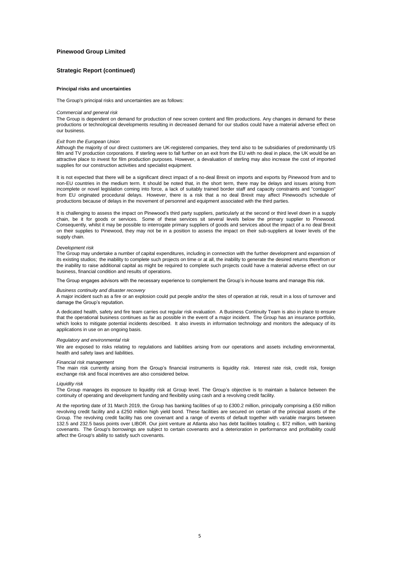### **Strategic Report (continued)**

#### **Principal risks and uncertainties**

The Group's principal risks and uncertainties are as follows:

#### *Commercial and general risk*

The Group is dependent on demand for production of new screen content and film productions. Any changes in demand for these productions or technological developments resulting in decreased demand for our studios could have a material adverse effect on our business.

#### *Exit from the European Union*

Although the majority of our direct customers are UK-registered companies, they tend also to be subsidiaries of predominantly US film and TV production corporations. If sterling were to fall further on an exit from the EU with no deal in place, the UK would be an attractive place to invest for film production purposes. However, a devaluation of sterling may also increase the cost of imported supplies for our construction activities and specialist equipment.

It is not expected that there will be a significant direct impact of a no-deal Brexit on imports and exports by Pinewood from and to non-EU countries in the medium term. It should be noted that, in the short term, there may be delays and issues arising from incomplete or novel legislation coming into force, a lack of suitably trained border staff and capacity constraints and "contagion" from EU originated procedural delays. However, there is a risk that a no deal Brexit may affect Pinewood's schedule of productions because of delays in the movement of personnel and equipment associated with the third parties.

It is challenging to assess the impact on Pinewood's third party suppliers, particularly at the second or third level down in a supply chain, be it for goods or services. Some of these services sit several levels below the primary supplier to Pinewood. Consequently, whilst it may be possible to interrogate primary suppliers of goods and services about the impact of a no deal Brexit on their supplies to Pinewood, they may not be in a position to assess the impact on their sub-suppliers at lower levels of the supply chain.

### *Development risk*

The Group may undertake a number of capital expenditures, including in connection with the further development and expansion of its existing studios; the inability to complete such projects on time or at all, the inability to generate the desired returns therefrom or the inability to raise additional capital as might be required to complete such projects could have a material adverse effect on our business, financial condition and results of operations.

The Group engages advisors with the necessary experience to complement the Group's in-house teams and manage this risk.

#### *Business continuity and disaster recovery*

A major incident such as a fire or an explosion could put people and/or the sites of operation at risk, result in a loss of turnover and damage the Group's reputation.

A dedicated health, safety and fire team carries out regular risk evaluation. A Business Continuity Team is also in place to ensure that the operational business continues as far as possible in the event of a major incident. The Group has an insurance portfolio, which looks to mitigate potential incidents described. It also invests in information technology and monitors the adequacy of its applications in use on an ongoing basis.

#### *Regulatory and environmental risk*

We are exposed to risks relating to regulations and liabilities arising from our operations and assets including environmental, health and safety laws and liabilities.

#### *Financial risk management*

The main risk currently arising from the Group's financial instruments is liquidity risk. Interest rate risk, credit risk, foreign exchange risk and fiscal incentives are also considered below.

#### *Liquidity risk*

The Group manages its exposure to liquidity risk at Group level. The Group's objective is to maintain a balance between the continuity of operating and development funding and flexibility using cash and a revolving credit facility.

At the reporting date of 31 March 2019, the Group has banking facilities of up to £300.2 million, principally comprising a £50 million revolving credit facility and a £250 million high yield bond. These facilities are secured on certain of the principal assets of the Group. The revolving credit facility has one covenant and a range of events of default together with variable margins between 132.5 and 232.5 basis points over LIBOR. Our joint venture at Atlanta also has debt facilities totalling c. \$72 million, with banking covenants. The Group's borrowings are subject to certain covenants and a deterioration in performance and profitability could affect the Group's ability to satisfy such covenants.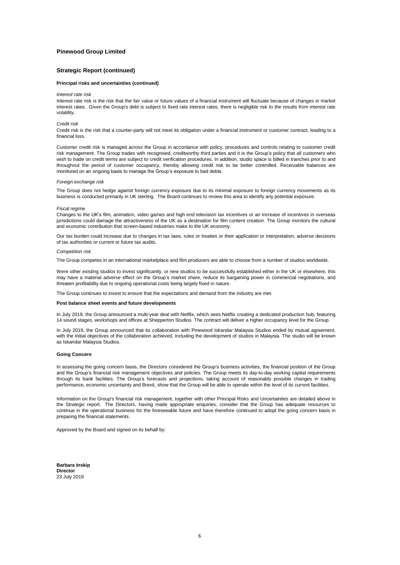### **Strategic Report (continued)**

#### **Principal risks and uncertainties (continued)**

#### *Interest rate risk*

Interest rate risk is the risk that the fair value or future values of a financial instrument will fluctuate because of changes in market interest rates. Given the Group's debt is subject to fixed rate interest rates, there is negligible risk to the results from interest rate volatility.

#### *Credit risk*

Credit risk is the risk that a counter-party will not meet its obligation under a financial instrument or customer contract, leading to a financial loss.

Customer credit risk is managed across the Group in accordance with policy, procedures and controls relating to customer credit risk management. The Group trades with recognised, creditworthy third parties and it is the Group's policy that all customers who wish to trade on credit terms are subject to credit verification procedures. In addition, studio space is billed in tranches prior to and throughout the period of customer occupancy, thereby allowing credit risk to be better controlled. Receivable balances are monitored on an ongoing basis to manage the Group's exposure to bad debts.

#### *Foreign exchange risk*

The Group does not hedge against foreign currency exposure due to its minimal exposure to foreign currency movements as its business is conducted primarily in UK sterling. The Board continues to review this area to identify any potential exposure.

#### *Fiscal regime*

Changes to the UK's film, animation, video games and high end television tax incentives or an increase of incentives in overseas jurisdictions could damage the attractiveness of the UK as a destination for film content creation. The Group monitors the cultural and economic contribution that screen-based industries make to the UK economy.

Our tax burden could increase due to changes in tax laws, rules or treaties or their application or interpretation, adverse decisions of tax authorities or current or future tax audits.

#### *Competition risk*

The Group competes in an international marketplace and film producers are able to choose from a number of studios worldwide.

Were other existing studios to invest significantly, or new studios to be successfully established either in the UK or elsewhere, this may have a material adverse effect on the Group's market share, reduce its bargaining power in commercial negotiations, and threaten profitability due to ongoing operational costs being largely fixed in nature.

The Group continues to invest to ensure that the expectations and demand from the industry are met.

#### **Post balance sheet events and future developments**

In July 2019, the Group announced a multi-year deal with Netflix, which sees Netflix creating a dedicated production hub, featuring 14 sound stages, workshops and offices at Shepperton Studios. The contract will deliver a higher occupancy level for the Group.

In July 2019, the Group announced that its collaboration with Pinewood Iskandar Malaysia Studios ended by mutual agreement, with the initial objectives of the collaboration achieved, including the development of studios in Malaysia. The studio will be known as Iskandar Malaysia Studios.

#### **Going Concern**

In assessing the going concern basis, the Directors considered the Group's business activities, the financial position of the Group and the Group's financial risk management objectives and policies. The Group meets its day-to-day working capital requirements through its bank facilities. The Group's forecasts and projections, taking account of reasonably possible changes in trading performance, economic uncertainty and Brexit, show that the Group will be able to operate within the level of its current facilities.

Information on the Group's financial risk management, together with other Principal Risks and Uncertainties are detailed above in the Strategic report. The Directors, having made appropriate enquiries, consider that the Group has adequate resources to continue in the operational business for the foreseeable future and have therefore continued to adopt the going concern basis in preparing the financial statements.

Approved by the Board and signed on its behalf by:

**Barbara Inskip Director** 23 July 2019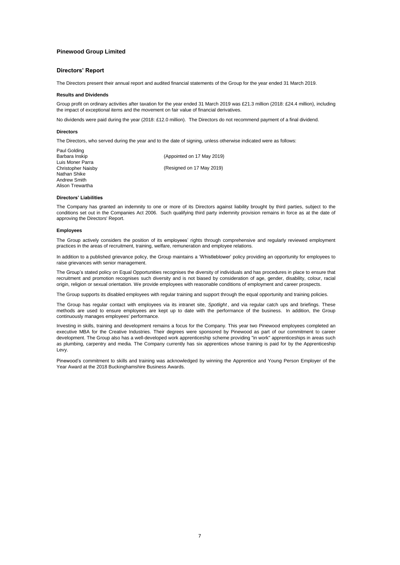### **Directors' Report**

The Directors present their annual report and audited financial statements of the Group for the year ended 31 March 2019.

#### **Results and Dividends**

Group profit on ordinary activities after taxation for the year ended 31 March 2019 was £21.3 million (2018: £24.4 million), including the impact of exceptional items and the movement on fair value of financial derivatives.

No dividends were paid during the year (2018: £12.0 million). The Directors do not recommend payment of a final dividend.

#### **Directors**

The Directors, who served during the year and to the date of signing, unless otherwise indicated were as follows:

Paul Golding Barbara Inskip (Appointed on 17 May 2019) Luis Moner Parra<br>Christopher Naisby (Resigned on 17 May 2019) Nathan Shike Andrew Smith Alison Trewartha

#### **Directors' Liabilities**

The Company has granted an indemnity to one or more of its Directors against liability brought by third parties, subject to the conditions set out in the Companies Act 2006. Such qualifying third party indemnity provision remains in force as at the date of approving the Directors' Report.

#### **Employees**

The Group actively considers the position of its employees' rights through comprehensive and regularly reviewed employment practices in the areas of recruitment, training, welfare, remuneration and employee relations.

In addition to a published grievance policy, the Group maintains a 'Whistleblower' policy providing an opportunity for employees to raise grievances with senior management.

The Group's stated policy on Equal Opportunities recognises the diversity of individuals and has procedures in place to ensure that recruitment and promotion recognises such diversity and is not biased by consideration of age, gender, disability, colour, racial origin, religion or sexual orientation. We provide employees with reasonable conditions of employment and career prospects.

The Group supports its disabled employees with regular training and support through the equal opportunity and training policies.

The Group has regular contact with employees via its intranet site, Spotlight, and via regular catch ups and briefings. These methods are used to ensure employees are kept up to date with the performance of the business. In addition, the Group continuously manages employees' performance.

Investing in skills, training and development remains a focus for the Company. This year two Pinewood employees completed an executive MBA for the Creative Industries. Their degrees were sponsored by Pinewood as part of our commitment to career development. The Group also has a well-developed work apprenticeship scheme providing "in work" apprenticeships in areas such as plumbing, carpentry and media. The Company currently has six apprentices whose training is paid for by the Apprenticeship Levy.

Pinewood's commitment to skills and training was acknowledged by winning the Apprentice and Young Person Employer of the Year Award at the 2018 Buckinghamshire Business Awards.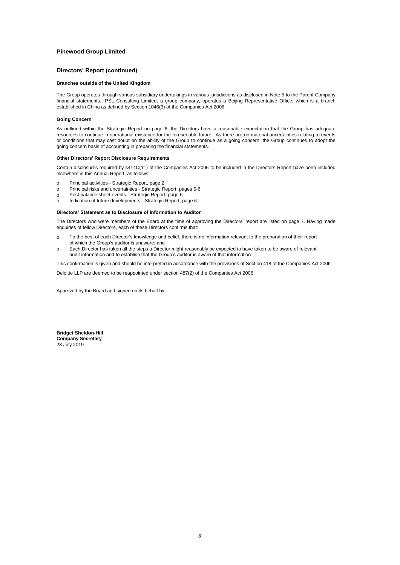### **Directors' Report (continued)**

#### **Branches outside of the United Kingdom**

The Group operates through various subsidiary undertakings in various jurisdictions as disclosed in Note 5 to the Parent Company financial statements. PSL Consulting Limited, a group company, operates a Beijing Representative Office, which is a branch established in China as defined by Section 1046(3) of the Companies Act 2006.

#### **Going Concern**

As outlined within the Strategic Report on page 6, the Directors have a reasonable expectation that the Group has adequate resources to continue in operational existence for the foreseeable future. As there are no material uncertainties relating to events or conditions that may cast doubt on the ability of the Group to continue as a going concern, the Group continues to adopt the going concern basis of accounting in preparing the financial statements.

### **Other Directors' Report Disclosure Requirements**

Certain disclosures required by s414C(11) of the Companies Act 2006 to be included in the Directors Report have been included elsewhere in this Annual Report, as follows:

- o Principal activities Strategic Report, page 2
- o Principal risks and uncertainties Strategic Report, pages 5-6
- o Post balance sheet events Strategic Report, page 6
- o Indication of future developments Strategic Report, page 6

#### **Directors' Statement as to Disclosure of Information to Auditor**

The Directors who were members of the Board at the time of approving the Directors' report are listed on page 7. Having made enquiries of fellow Directors, each of these Directors confirms that:

- o To the best of each Director's knowledge and belief, there is no information relevant to the preparation of their report of which the Group's auditor is unaware; and
- o Each Director has taken all the steps a Director might reasonably be expected to have taken to be aware of relevant audit information and to establish that the Group's auditor is aware of that information.

This confirmation is given and should be interpreted in accordance with the provisions of Section 418 of the Companies Act 2006.

Deloitte LLP are deemed to be reappointed under section 487(2) of the Companies Act 2006.

Approved by the Board and signed on its behalf by:

**Bridget Sheldon-Hill Company Secretary** 23 July 2019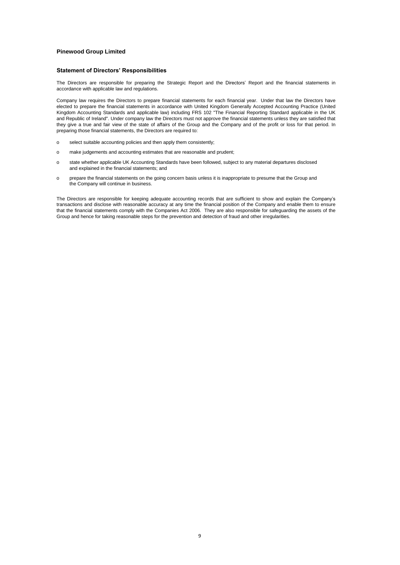### **Statement of Directors' Responsibilities**

The Directors are responsible for preparing the Strategic Report and the Directors' Report and the financial statements in accordance with applicable law and regulations.

Company law requires the Directors to prepare financial statements for each financial year. Under that law the Directors have elected to prepare the financial statements in accordance with United Kingdom Generally Accepted Accounting Practice (United Kingdom Accounting Standards and applicable law) including FRS 102 "The Financial Reporting Standard applicable in the UK and Republic of Ireland". Under company law the Directors must not approve the financial statements unless they are satisfied that they give a true and fair view of the state of affairs of the Group and the Company and of the profit or loss for that period. In preparing those financial statements, the Directors are required to:

- o select suitable accounting policies and then apply them consistently;
- o make judgements and accounting estimates that are reasonable and prudent;
- o and explained in the financial statements; and state whether applicable UK Accounting Standards have been followed, subject to any material departures disclosed
- o prepare the financial statements on the going concern basis unless it is inappropriate to presume that the Group and the Company will continue in business.

The Directors are responsible for keeping adequate accounting records that are sufficient to show and explain the Company's transactions and disclose with reasonable accuracy at any time the financial position of the Company and enable them to ensure that the financial statements comply with the Companies Act 2006. They are also responsible for safeguarding the assets of the Group and hence for taking reasonable steps for the prevention and detection of fraud and other irregularities.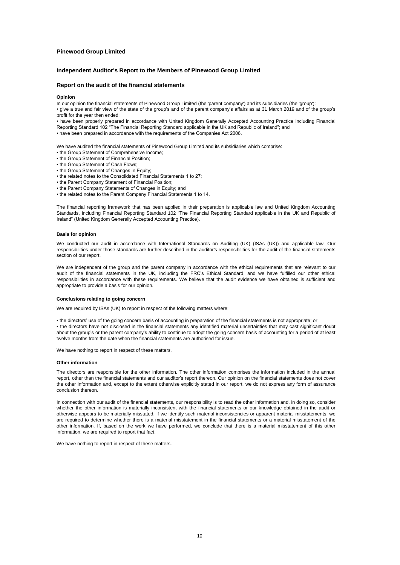#### **Independent Auditor's Report to the Members of Pinewood Group Limited**

#### **Report on the audit of the financial statements**

#### **Opinion**

In our opinion the financial statements of Pinewood Group Limited (the 'parent company') and its subsidiaries (the 'group'):

• give a true and fair view of the state of the group's and of the parent company's affairs as at 31 March 2019 and of the group's profit for the year then ended;

• have been properly prepared in accordance with United Kingdom Generally Accepted Accounting Practice including Financial Reporting Standard 102 "The Financial Reporting Standard applicable in the UK and Republic of Ireland"; and

• have been prepared in accordance with the requirements of the Companies Act 2006.

We have audited the financial statements of Pinewood Group Limited and its subsidiaries which comprise:

- the Group Statement of Comprehensive Income;
- the Group Statement of Financial Position;
- the Group Statement of Cash Flows;
- the Group Statement of Changes in Equity;
- the related notes to the Consolidated Financial Statements 1 to 27;
- the Parent Company Statement of Financial Position;
- the Parent Company Statements of Changes in Equity; and
- the related notes to the Parent Company Financial Statements 1 to 14.

The financial reporting framework that has been applied in their preparation is applicable law and United Kingdom Accounting Standards, including Financial Reporting Standard 102 "The Financial Reporting Standard applicable in the UK and Republic of Ireland" (United Kingdom Generally Accepted Accounting Practice).

#### **Basis for opinion**

We conducted our audit in accordance with International Standards on Auditing (UK) (ISAs (UK)) and applicable law. Our responsibilities under those standards are further described in the auditor's responsibilities for the audit of the financial statements section of our report.

We are independent of the group and the parent company in accordance with the ethical requirements that are relevant to our audit of the financial statements in the UK, including the FRC's Ethical Standard, and we have fulfilled our other ethical responsibilities in accordance with these requirements. We believe that the audit evidence we have obtained is sufficient and appropriate to provide a basis for our opinion.

#### **Conclusions relating to going concern**

We are required by ISAs (UK) to report in respect of the following matters where:

• the directors' use of the going concern basis of accounting in preparation of the financial statements is not appropriate; or • the directors have not disclosed in the financial statements any identified material uncertainties that may cast significant doubt about the group's or the parent company's ability to continue to adopt the going concern basis of accounting for a period of at least twelve months from the date when the financial statements are authorised for issue.

We have nothing to report in respect of these matters.

#### **Other information**

The directors are responsible for the other information. The other information comprises the information included in the annual report, other than the financial statements and our auditor's report thereon. Our opinion on the financial statements does not cover the other information and, except to the extent otherwise explicitly stated in our report, we do not express any form of assurance conclusion thereon.

In connection with our audit of the financial statements, our responsibility is to read the other information and, in doing so, consider whether the other information is materially inconsistent with the financial statements or our knowledge obtained in the audit or otherwise appears to be materially misstated. If we identify such material inconsistencies or apparent material misstatements, we are required to determine whether there is a material misstatement in the financial statements or a material misstatement of the other information. If, based on the work we have performed, we conclude that there is a material misstatement of this other information, we are required to report that fact.

We have nothing to report in respect of these matters.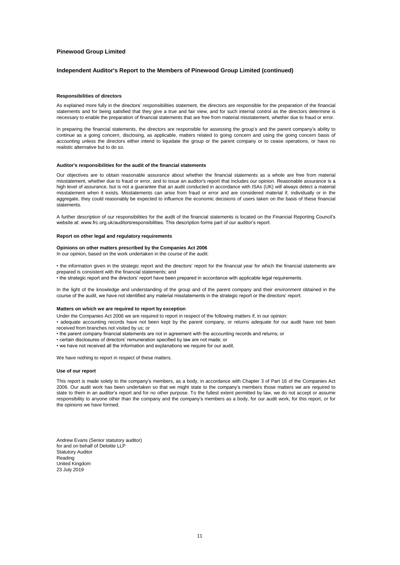### **Independent Auditor's Report to the Members of Pinewood Group Limited (continued)**

#### **Responsibilities of directors**

As explained more fully in the directors' responsibilities statement, the directors are responsible for the preparation of the financial statements and for being satisfied that they give a true and fair view, and for such internal control as the directors determine is necessary to enable the preparation of financial statements that are free from material misstatement, whether due to fraud or error.

In preparing the financial statements, the directors are responsible for assessing the group's and the parent company's ability to continue as a going concern, disclosing, as applicable, matters related to going concern and using the going concern basis of accounting unless the directors either intend to liquidate the group or the parent company or to cease operations, or have no realistic alternative but to do so.

#### **Auditor's responsibilities for the audit of the financial statements**

Our objectives are to obtain reasonable assurance about whether the financial statements as a whole are free from material misstatement, whether due to fraud or error, and to issue an auditor's report that includes our opinion. Reasonable assurance is a high level of assurance, but is not a guarantee that an audit conducted in accordance with ISAs (UK) will always detect a material misstatement when it exists. Misstatements can arise from fraud or error and are considered material if, individually or in the aggregate, they could reasonably be expected to influence the economic decisions of users taken on the basis of these financial statements.

A further description of our responsibilities for the audit of the financial statements is located on the Financial Reporting Council's website at: www.frc.org.uk/auditorsresponsibilities. This description forms part of our auditor's report.

#### **Report on other legal and regulatory requirements**

### **Opinions on other matters prescribed by the Companies Act 2006**

In our opinion, based on the work undertaken in the course of the audit:

• the information given in the strategic report and the directors' report for the financial year for which the financial statements are prepared is consistent with the financial statements; and

• the strategic report and the directors' report have been prepared in accordance with applicable legal requirements.

In the light of the knowledge and understanding of the group and of the parent company and their environment obtained in the course of the audit, we have not identified any material misstatements in the strategic report or the directors' report.

#### **Matters on which we are required to report by exception**

Under the Companies Act 2006 we are required to report in respect of the following matters if, in our opinion:

• adequate accounting records have not been kept by the parent company, or returns adequate for our audit have not been received from branches not visited by us; or

• the parent company financial statements are not in agreement with the accounting records and returns; or

- certain disclosures of directors' remuneration specified by law are not made; or
- we have not received all the information and explanations we require for our audit.

We have nothing to report in respect of these matters.

#### **Use of our report**

This report is made solely to the company's members, as a body, in accordance with Chapter 3 of Part 16 of the Companies Act 2006. Our audit work has been undertaken so that we might state to the company's members those matters we are required to state to them in an auditor's report and for no other purpose. To the fullest extent permitted by law, we do not accept or assume responsibility to anyone other than the company and the company's members as a body, for our audit work, for this report, or for the opinions we have formed.

Andrew Evans (Senior statutory auditor) for and on behalf of Deloitte LLP Statutory Auditor **Reading** United Kingdom 23 July 2019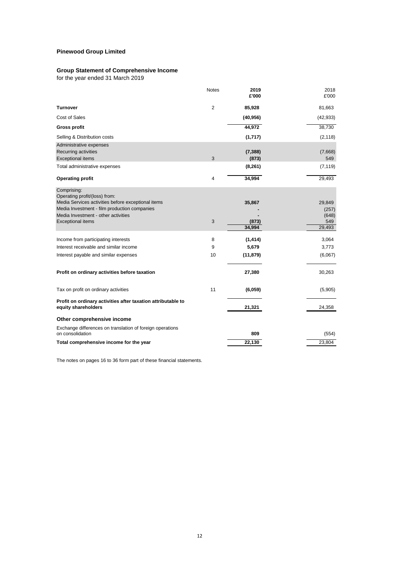# **Group Statement of Comprehensive Income**

for the year ended 31 March 2019

|                                                                                                                                                                                                                       | <b>Notes</b>   | 2019<br>£'000             | 2018<br>£'000                             |
|-----------------------------------------------------------------------------------------------------------------------------------------------------------------------------------------------------------------------|----------------|---------------------------|-------------------------------------------|
| <b>Turnover</b>                                                                                                                                                                                                       | $\overline{2}$ | 85,928                    | 81,663                                    |
| Cost of Sales                                                                                                                                                                                                         |                | (40, 956)                 | (42, 933)                                 |
| <b>Gross profit</b>                                                                                                                                                                                                   |                | 44,972                    | 38,730                                    |
| Selling & Distribution costs                                                                                                                                                                                          |                | (1,717)                   | (2, 118)                                  |
| Administrative expenses<br>Recurring activities<br><b>Exceptional items</b>                                                                                                                                           | 3              | (7, 388)<br>(873)         | (7,668)<br>549                            |
| Total administrative expenses                                                                                                                                                                                         |                | (8, 261)                  | (7, 119)                                  |
| <b>Operating profit</b>                                                                                                                                                                                               | 4              | 34,994                    | 29,493                                    |
| Comprising:<br>Operating profit/(loss) from:<br>Media Services activities before exceptional items<br>Media Investment - film production companies<br>Media Investment - other activities<br><b>Exceptional items</b> | 3              | 35,867<br>(873)<br>34,994 | 29,849<br>(257)<br>(648)<br>549<br>29,493 |
| Income from participating interests                                                                                                                                                                                   | 8              | (1, 414)                  | 3,064                                     |
| Interest receivable and similar income                                                                                                                                                                                | 9              | 5,679                     | 3,773                                     |
| Interest payable and similar expenses                                                                                                                                                                                 | 10             | (11, 879)                 | (6,067)                                   |
| Profit on ordinary activities before taxation                                                                                                                                                                         |                | 27,380                    | 30,263                                    |
| Tax on profit on ordinary activities                                                                                                                                                                                  | 11             | (6,059)                   | (5,905)                                   |
| Profit on ordinary activities after taxation attributable to<br>equity shareholders                                                                                                                                   |                | 21,321                    | 24,358                                    |
| Other comprehensive income                                                                                                                                                                                            |                |                           |                                           |
| Exchange differences on translation of foreign operations<br>on consolidation                                                                                                                                         |                | 809                       | (554)                                     |
| Total comprehensive income for the year                                                                                                                                                                               |                | 22,130                    | 23,804                                    |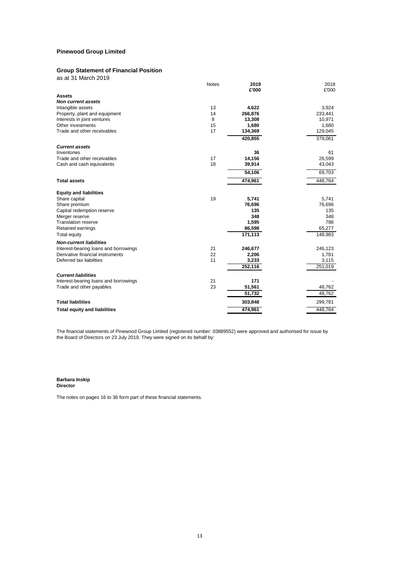# **Group Statement of Financial Position**

|  | .                   |  |  |  |
|--|---------------------|--|--|--|
|  | as at 31 March 2019 |  |  |  |

|                                       | Notes | 2019    | 2018    |
|---------------------------------------|-------|---------|---------|
|                                       |       | £'000   | £'000   |
| <b>Assets</b>                         |       |         |         |
| Non current assets                    |       |         |         |
| Intangible assets                     | 13    | 4,622   | 3,924   |
| Property, plant and equipment         | 14    | 266,876 | 233,441 |
| Interests in joint ventures           | 8     | 13,308  | 10,971  |
| Other investments                     | 15    | 1,680   | 1,680   |
| Trade and other receivables           | 17    | 134,369 | 129,045 |
|                                       |       | 420,855 | 379,061 |
| <b>Current assets</b>                 |       |         |         |
| Inventories                           |       | 36      | 61      |
| Trade and other receivables           | 17    | 14,156  | 26,599  |
| Cash and cash equivalents             | 18    | 39,914  | 43,043  |
|                                       |       | 54,106  | 69,703  |
| <b>Total assets</b>                   |       | 474,961 | 448,764 |
| <b>Equity and liabilities</b>         |       |         |         |
| Share capital                         | 19    | 5,741   | 5,741   |
| Share premium                         |       | 76,696  | 76,696  |
| Capital redemption reserve            |       | 135     | 135     |
| Merger reserve                        |       | 348     | 348     |
| <b>Translation reserve</b>            |       | 1,595   | 786     |
| Retained earnings                     |       | 86,598  | 65,277  |
| <b>Total equity</b>                   |       | 171,113 | 148,983 |
| <b>Non-current liabilities</b>        |       |         |         |
| Interest-bearing loans and borrowings | 21    | 246,677 | 246,123 |
| Derivative financial instruments      | 22    | 2,206   | 1,781   |
| Deferred tax liabilities              | 11    | 3,233   | 3,115   |
|                                       |       | 252,116 | 251,019 |
| <b>Current liabilities</b>            |       |         |         |
| Interest-bearing loans and borrowings | 21    | 171     |         |
| Trade and other payables              | 23    | 51,561  | 48,762  |
|                                       |       | 51,732  | 48,762  |
| <b>Total liabilities</b>              |       | 303,848 | 299,781 |
| <b>Total equity and liabilities</b>   |       | 474,961 | 448,764 |

The financial statements of Pinewood Group Limited (registered number: 03889552) were approved and authorised for issue by the Board of Directors on 23 July 2019. They were signed on its behalf by:

**Barbara Inskip Director**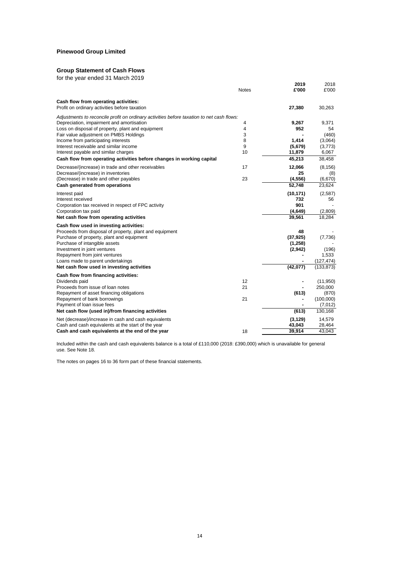# **Group Statement of Cash Flows**

for the year ended 31 March 2019

|                                                                                           | <b>Notes</b> | £'000     | £'000      |
|-------------------------------------------------------------------------------------------|--------------|-----------|------------|
| Cash flow from operating activities:                                                      |              |           |            |
| Profit on ordinary activities before taxation                                             |              | 27,380    | 30,263     |
| Adjustments to reconcile profit on ordinary activities before taxation to net cash flows: |              |           |            |
| Depreciation, impairment and amortisation                                                 | 4            | 9,267     | 9,371      |
| Loss on disposal of property, plant and equipment                                         | 4            | 952       | 54         |
| Fair value adjustment on PMBS Holdings                                                    | 3            |           | (460)      |
| Income from participating interests                                                       | 8            | 1,414     | (3,064)    |
| Interest receivable and similar income                                                    | 9            | (5,679)   | (3,773)    |
| Interest payable and similar charges                                                      | 10           | 11,879    | 6,067      |
| Cash flow from operating activities before changes in working capital                     |              | 45,213    | 38,458     |
| Decrease/(increase) in trade and other receivables                                        | 17           | 12,066    | (8, 156)   |
| Decrease/(increase) in inventories                                                        |              | 25        | (8)        |
| (Decrease) in trade and other payables                                                    | 23           | (4, 556)  | (6,670)    |
| Cash generated from operations                                                            |              | 52,748    | 23,624     |
| Interest paid                                                                             |              | (10, 171) | (2,587)    |
| Interest received                                                                         |              | 732       | 56         |
| Corporation tax received in respect of FPC activity                                       |              | 901       |            |
| Corporation tax paid                                                                      |              | (4,649)   | (2,809)    |
| Net cash flow from operating activities                                                   |              | 39,561    | 18,284     |
| Cash flow used in investing activities:                                                   |              |           |            |
| Proceeds from disposal of property, plant and equipment                                   |              | 48        |            |
| Purchase of property, plant and equipment                                                 |              | (37, 925) | (7, 736)   |
| Purchase of intangible assets                                                             |              | (1,258)   |            |
| Investment in joint ventures                                                              |              | (2,942)   | (196)      |
| Repayment from joint ventures                                                             |              |           | 1,533      |
| Loans made to parent undertakings                                                         |              |           | (127, 474) |
| Net cash flow used in investing activities                                                |              | (42, 077) | (133, 873) |
| Cash flow from financing activities:                                                      |              |           |            |
| Dividends paid                                                                            | 12           |           | (11, 950)  |
| Proceeds from issue of loan notes                                                         | 21           |           | 250,000    |
| Repayment of asset financing obligations                                                  |              | (613)     | (870)      |
| Repayment of bank borrowings                                                              | 21           |           | (100,000)  |
| Payment of loan issue fees                                                                |              |           | (7,012)    |
| Net cash flow (used in)/from financing activities                                         |              | (613)     | 130,168    |
| Net (decrease)/increase in cash and cash equivalents                                      |              | (3, 129)  | 14,579     |
| Cash and cash equivalents at the start of the year                                        |              | 43,043    | 28,464     |
| Cash and cash equivalents at the end of the year                                          | 18           | 39,914    | 43,043     |

**2019** 2018

Included within the cash and cash equivalents balance is a total of £110,000 (2018: £390,000) which is unavailable for general use. See Note 18.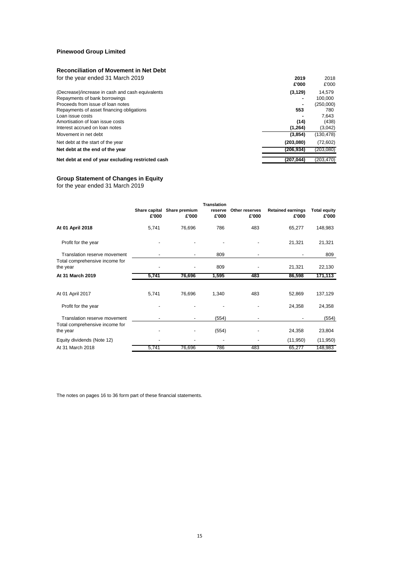# **Reconciliation of Movement in Net Debt**

| for the year ended 31 March 2019<br>£'000                                                     | 2019<br>2018<br>£'000 |
|-----------------------------------------------------------------------------------------------|-----------------------|
| (3, 129)<br>(Decrease)/increase in cash and cash equivalents<br>Repayments of bank borrowings | 14.579<br>100.000     |
| Proceeds from issue of loan notes                                                             | (250,000)             |
| 553<br>Repayments of asset financing obligations                                              | 780                   |
| Loan issue costs                                                                              | 7.643                 |
| Amortisation of loan issue costs                                                              | (438)<br>(14)         |
| Interest accrued on loan notes<br>(1, 264)                                                    | (3,042)               |
| Movement in net debt<br>(3,854)                                                               | (130, 478)            |
| Net debt at the start of the year<br>(203,080)                                                | (72,602)              |
| Net debt at the end of the year<br>(206,934)                                                  | (203,080)             |
| Net debt at end of year excluding restricted cash<br>(207.044)                                | (203, 470)            |

#### **Group Statement of Changes in Equity**

for the year ended 31 March 2019

|                                            |       | Share capital Share premium | <b>Translation</b><br>reserve | Other reserves | <b>Retained earnings</b> | <b>Total equity</b> |
|--------------------------------------------|-------|-----------------------------|-------------------------------|----------------|--------------------------|---------------------|
|                                            | £'000 | £'000                       | £'000                         | £'000          | £'000                    | £'000               |
| At 01 April 2018                           | 5,741 | 76,696                      | 786                           | 483            | 65,277                   | 148,983             |
| Profit for the year                        |       |                             |                               |                | 21,321                   | 21,321              |
| Translation reserve movement               |       |                             | 809                           |                |                          | 809                 |
| Total comprehensive income for<br>the year |       |                             | 809                           |                | 21,321                   | 22,130              |
| At 31 March 2019                           | 5,741 | 76,696                      | 1,595                         | 483            | 86,598                   | 171,113             |
|                                            |       |                             |                               |                |                          |                     |
| At 01 April 2017                           | 5,741 | 76,696                      | 1,340                         | 483            | 52,869                   | 137,129             |
| Profit for the year                        |       |                             |                               |                | 24,358                   | 24,358              |
| Translation reserve movement               |       |                             | (554)                         |                |                          | (554)               |
| Total comprehensive income for<br>the year |       |                             | (554)                         |                | 24,358                   | 23,804              |
| Equity dividends (Note 12)                 |       |                             |                               |                | (11, 950)                | (11, 950)           |
| At 31 March 2018                           | 5,741 | 76,696                      | 786                           | 483            | 65,277                   | 148,983             |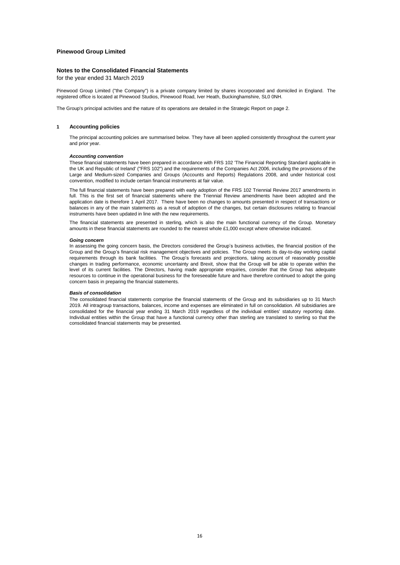### **Notes to the Consolidated Financial Statements**

for the year ended 31 March 2019

Pinewood Group Limited ("the Company") is a private company limited by shares incorporated and domiciled in England. The registered office is located at Pinewood Studios, Pinewood Road, Iver Heath, Buckinghamshire, SL0 0NH.

The Group's principal activities and the nature of its operations are detailed in the Strategic Report on page 2.

### **1 Accounting policies**

The principal accounting policies are summarised below. They have all been applied consistently throughout the current year and prior year.

#### *Accounting convention*

These financial statements have been prepared in accordance with FRS 102 'The Financial Reporting Standard applicable in the UK and Republic of Ireland' ("FRS 102") and the requirements of the Companies Act 2006, including the provisions of the Large and Medium-sized Companies and Groups (Accounts and Reports) Regulations 2008, and under historical cost convention, modified to include certain financial instruments at fair value.

The full financial statements have been prepared with early adoption of the FRS 102 Triennial Review 2017 amendments in full. This is the first set of financial statements where the Triennial Review amendments have been adopted and the application date is therefore 1 April 2017. There have been no changes to amounts presented in respect of transactions or balances in any of the main statements as a result of adoption of the changes, but certain disclosures relating to financial instruments have been updated in line with the new requirements.

The financial statements are presented in sterling, which is also the main functional currency of the Group. Monetary amounts in these financial statements are rounded to the nearest whole £1,000 except where otherwise indicated.

#### *Going concern*

In assessing the going concern basis, the Directors considered the Group's business activities, the financial position of the Group and the Group's financial risk management objectives and policies. The Group meets its day-to-day working capital requirements through its bank facilities. The Group's forecasts and projections, taking account of reasonably possible changes in trading performance, economic uncertainty and Brexit, show that the Group will be able to operate within the level of its current facilities. The Directors, having made appropriate enquiries, consider that the Group has adequate resources to continue in the operational business for the foreseeable future and have therefore continued to adopt the going concern basis in preparing the financial statements.

#### *Basis of consolidation*

The consolidated financial statements comprise the financial statements of the Group and its subsidiaries up to 31 March 2019. All intragroup transactions, balances, income and expenses are eliminated in full on consolidation. All subsidiaries are consolidated for the financial year ending 31 March 2019 regardless of the individual entities' statutory reporting date. Individual entities within the Group that have a functional currency other than sterling are translated to sterling so that the consolidated financial statements may be presented.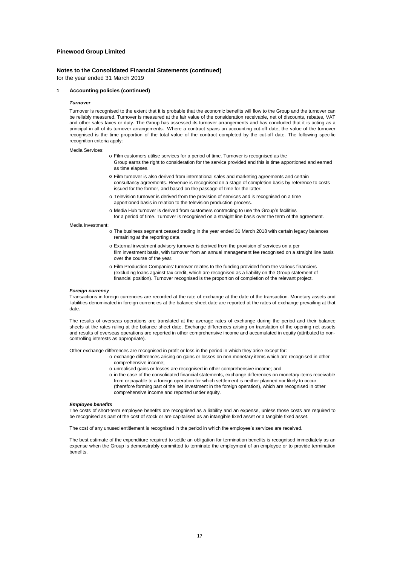### **Notes to the Consolidated Financial Statements (continued)**

for the year ended 31 March 2019

#### **1 Accounting policies (continued)**

#### *Turnover*

Turnover is recognised to the extent that it is probable that the economic benefits will flow to the Group and the turnover can be reliably measured. Turnover is measured at the fair value of the consideration receivable, net of discounts, rebates, VAT and other sales taxes or duty. The Group has assessed its turnover arrangements and has concluded that it is acting as a principal in all of its turnover arrangements. Where a contract spans an accounting cut-off date, the value of the turnover recognised is the time proportion of the total value of the contract completed by the cut-off date. The following specific recognition criteria apply:

Media Services:

- o Film customers utilise services for a period of time. Turnover is recognised as the Group earns the right to consideration for the service provided and this is time apportioned and earned as time elapses.
- o Film turnover is also derived from international sales and marketing agreements and certain consultancy agreements. Revenue is recognised on a stage of completion basis by reference to costs issued for the former, and based on the passage of time for the latter.
- o Television turnover is derived from the provision of services and is recognised on a time apportioned basis in relation to the television production process.
- o Media Hub turnover is derived from customers contracting to use the Group's facilities for a period of time. Turnover is recognised on a straight line basis over the term of the agreement.

#### Media Investment:

- o The business segment ceased trading in the year ended 31 March 2018 with certain legacy balances remaining at the reporting date.
- o External investment advisory turnover is derived from the provision of services on a per film investment basis, with turnover from an annual management fee recognised on a straight line basis over the course of the year.
- o Film Production Companies' turnover relates to the funding provided from the various financiers (excluding loans against tax credit, which are recognised as a liability on the Group statement of financial position). Turnover recognised is the proportion of completion of the relevant project.

#### *Foreign currency*

Transactions in foreign currencies are recorded at the rate of exchange at the date of the transaction. Monetary assets and liabilities denominated in foreign currencies at the balance sheet date are reported at the rates of exchange prevailing at that date.

The results of overseas operations are translated at the average rates of exchange during the period and their balance sheets at the rates ruling at the balance sheet date. Exchange differences arising on translation of the opening net assets and results of overseas operations are reported in other comprehensive income and accumulated in equity (attributed to noncontrolling interests as appropriate).

Other exchange differences are recognised in profit or loss in the period in which they arise except for:

- o exchange differences arising on gains or losses on non-monetary items which are recognised in other comprehensive income;
- o unrealised gains or losses are recognised in other comprehensive income; and
- o in the case of the consolidated financial statements, exchange differences on monetary items receivable from or payable to a foreign operation for which settlement is neither planned nor likely to occur (therefore forming part of the net investment in the foreign operation), which are recognised in other comprehensive income and reported under equity.

#### *Employee benefits*

The costs of short-term employee benefits are recognised as a liability and an expense, unless those costs are required to be recognised as part of the cost of stock or are capitalised as an intangible fixed asset or a tangible fixed asset.

The cost of any unused entitlement is recognised in the period in which the employee's services are received.

The best estimate of the expenditure required to settle an obligation for termination benefits is recognised immediately as an expense when the Group is demonstrably committed to terminate the employment of an employee or to provide termination benefits.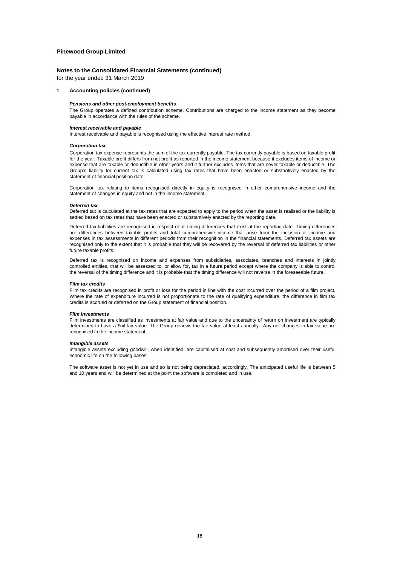### **Notes to the Consolidated Financial Statements (continued)**

for the year ended 31 March 2019

#### **1 Accounting policies (continued)**

#### *Pensions and other post-employment benefits*

The Group operates a defined contribution scheme. Contributions are charged to the income statement as they become payable in accordance with the rules of the scheme.

#### *Interest receivable and payable*

Interest receivable and payable is recognised using the effective interest rate method.

#### *Corporation tax*

Corporation tax expense represents the sum of the tax currently payable. The tax currently payable is based on taxable profit for the year. Taxable profit differs from net profit as reported in the income statement because it excludes items of income or expense that are taxable or deductible in other years and it further excludes items that are never taxable or deductible. The Group's liability for current tax is calculated using tax rates that have been enacted or substantively enacted by the statement of financial position date.

Corporation tax relating to items recognised directly in equity is recognised in other comprehensive income and the statement of changes in equity and not in the income statement.

#### *Deferred tax*

Deferred tax is calculated at the tax rates that are expected to apply to the period when the asset is realised or the liability is settled based on tax rates that have been enacted or substantively enacted by the reporting date.

Deferred tax liabilities are recognised in respect of all timing differences that exist at the reporting date. Timing differences are differences between taxable profits and total comprehensive income that arise from the inclusion of income and expenses in tax assessments in different periods from their recognition in the financial statements. Deferred tax assets are recognised only to the extent that it is probable that they will be recovered by the reversal of deferred tax liabilities or other future taxable profits.

Deferred tax is recognised on income and expenses from subsidiaries, associates, branches and interests in jointly controlled entities, that will be assessed to, or allow for, tax in a future period except where the company is able to control the reversal of the timing difference and it is probable that the timing difference will not reverse in the foreseeable future.

#### *Film tax credits*

Film tax credits are recognised in profit or loss for the period in line with the cost incurred over the period of a film project. Where the rate of expenditure incurred is not proportionate to the rate of qualifying expenditure, the difference in film tax credits is accrued or deferred on the Group statement of financial position.

#### *Film investments*

Film investments are classified as investments at fair value and due to the uncertainty of return on investment are typically determined to have a £nil fair value. The Group reviews the fair value at least annually. Any net changes in fair value are recognised in the income statement.

#### *Intangible assets*

Intangible assets excluding goodwill, when identified, are capitalised at cost and subsequently amortised over their useful economic life on the following bases:

The software asset is not yet in use and so is not being depreciated, accordingly. The anticipated useful life is between 5 and 10 years and will be determined at the point the software is completed and in use.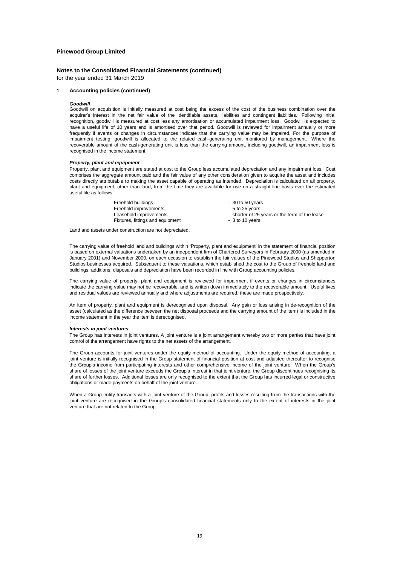### **Notes to the Consolidated Financial Statements (continued)**

for the year ended 31 March 2019

#### **1 Accounting policies (continued)**

#### *Goodwill*

Goodwill on acquisition is initially measured at cost being the excess of the cost of the business combination over the acquirer's interest in the net fair value of the identifiable assets, liabilities and contingent liabilities. Following initial recognition, goodwill is measured at cost less any amortisation or accumulated impairment loss. Goodwill is expected to have a useful life of 10 years and is amortised over that period. Goodwill is reviewed for impairment annually or more frequently if events or changes in circumstances indicate that the carrying value may be impaired. For the purpose of impairment testing, goodwill is allocated to the related cash-generating unit monitored by management. Where the recoverable amount of the cash-generating unit is less than the carrying amount, including goodwill, an impairment loss is recognised in the income statement.

#### *Property, plant and equipment*

Property, plant and equipment are stated at cost to the Group less accumulated depreciation and any impairment loss. Cost comprises the aggregate amount paid and the fair value of any other consideration given to acquire the asset and includes costs directly attributable to making the asset capable of operating as intended. Depreciation is calculated on all property, plant and equipment, other than land, from the time they are available for use on a straight line basis over the estimated useful life as follows:

> Freehold buildings<br>
> Freehold improvements<br>
> - 5 to 25 years<br>
> - 5 to 25 years Freehold improvements<br>Leasehold improvements - shorter of 25 years or the term of the lease<br>- 3 to 10 years Fixtures, fittings and equipment

Land and assets under construction are not depreciated.

The carrying value of freehold land and buildings within 'Property, plant and equipment' in the statement of financial position is based on external valuations undertaken by an independent firm of Chartered Surveyors in February 2000 (as amended in January 2001) and November 2000, on each occasion to establish the fair values of the Pinewood Studios and Shepperton Studios businesses acquired. Subsequent to these valuations, which established the cost to the Group of freehold land and buildings, additions, disposals and depreciation have been recorded in line with Group accounting policies.

The carrying value of property, plant and equipment is reviewed for impairment if events or changes in circumstances indicate the carrying value may not be recoverable, and is written down immediately to the recoverable amount. Useful lives and residual values are reviewed annually and where adjustments are required, these are made prospectively.

An item of property, plant and equipment is derecognised upon disposal. Any gain or loss arising in de-recognition of the asset (calculated as the difference between the net disposal proceeds and the carrying amount of the item) is included in the income statement in the year the item is derecognised.

#### *Interests in joint ventures*

The Group has interests in joint ventures. A joint venture is a joint arrangement whereby two or more parties that have joint control of the arrangement have rights to the net assets of the arrangement.

The Group accounts for joint ventures under the equity method of accounting. Under the equity method of accounting, a joint venture is initially recognised in the Group statement of financial position at cost and adjusted thereafter to recognise the Group's income from participating interests and other comprehensive income of the joint venture. When the Group's share of losses of the joint venture exceeds the Group's interest in that joint venture, the Group discontinues recognising its share of further losses. Additional losses are only recognised to the extent that the Group has incurred legal or constructive obligations or made payments on behalf of the joint venture.

When a Group entity transacts with a joint venture of the Group, profits and losses resulting from the transactions with the joint venture are recognised in the Group's consolidated financial statements only to the extent of interests in the joint venture that are not related to the Group.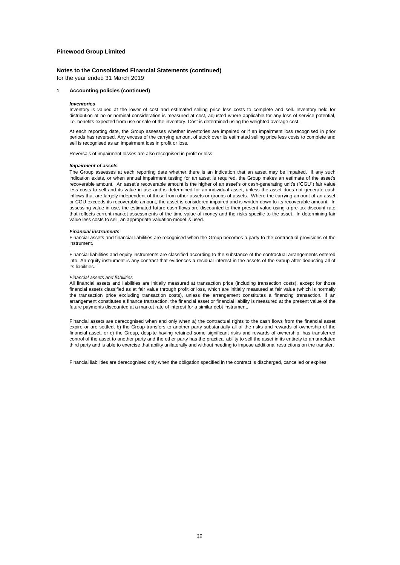### **Notes to the Consolidated Financial Statements (continued)**

for the year ended 31 March 2019

#### **1 Accounting policies (continued)**

#### *Inventories*

Inventory is valued at the lower of cost and estimated selling price less costs to complete and sell. Inventory held for distribution at no or nominal consideration is measured at cost, adjusted where applicable for any loss of service potential. i.e. benefits expected from use or sale of the inventory. Cost is determined using the weighted average cost.

At each reporting date, the Group assesses whether inventories are impaired or if an impairment loss recognised in prior periods has reversed. Any excess of the carrying amount of stock over its estimated selling price less costs to complete and sell is recognised as an impairment loss in profit or loss.

Reversals of impairment losses are also recognised in profit or loss.

#### *Impairment of assets*

The Group assesses at each reporting date whether there is an indication that an asset may be impaired. If any such indication exists, or when annual impairment testing for an asset is required, the Group makes an estimate of the asset's recoverable amount. An asset's recoverable amount is the higher of an asset's or cash-generating unit's ("CGU") fair value less costs to sell and its value in use and is determined for an individual asset, unless the asset does not generate cash inflows that are largely independent of those from other assets or groups of assets. Where the carrying amount of an asset or CGU exceeds its recoverable amount, the asset is considered impaired and is written down to its recoverable amount. In assessing value in use, the estimated future cash flows are discounted to their present value using a pre-tax discount rate that reflects current market assessments of the time value of money and the risks specific to the asset. In determining fair value less costs to sell, an appropriate valuation model is used.

#### *Financial instruments*

Financial assets and financial liabilities are recognised when the Group becomes a party to the contractual provisions of the instrument.

Financial liabilities and equity instruments are classified according to the substance of the contractual arrangements entered into. An equity instrument is any contract that evidences a residual interest in the assets of the Group after deducting all of its liabilities.

#### *Financial assets and liabilities*

All financial assets and liabilities are initially measured at transaction price (including transaction costs), except for those financial assets classified as at fair value through profit or loss, which are initially measured at fair value (which is normally the transaction price excluding transaction costs), unless the arrangement constitutes a financing transaction. If an arrangement constitutes a finance transaction, the financial asset or financial liability is measured at the present value of the future payments discounted at a market rate of interest for a similar debt instrument.

Financial assets are derecognised when and only when a) the contractual rights to the cash flows from the financial asset expire or are settled, b) the Group transfers to another party substantially all of the risks and rewards of ownership of the financial asset, or c) the Group, despite having retained some significant risks and rewards of ownership, has transferred control of the asset to another party and the other party has the practical ability to sell the asset in its entirety to an unrelated third party and is able to exercise that ability unilaterally and without needing to impose additional restrictions on the transfer.

Financial liabilities are derecognised only when the obligation specified in the contract is discharged, cancelled or expires.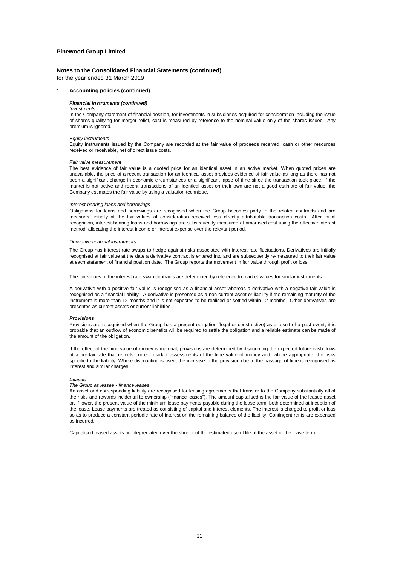# **Notes to the Consolidated Financial Statements (continued)**

for the year ended 31 March 2019

## **1 Accounting policies (continued)**

#### *Financial instruments (continued)*

### *Investments*

In the Company statement of financial position, for investments in subsidiaries acquired for consideration including the issue of shares qualifying for merger relief, cost is measured by reference to the nominal value only of the shares issued. Any premium is ignored.

#### *Equity instruments*

Equity instruments issued by the Company are recorded at the fair value of proceeds received, cash or other resources received or receivable, net of direct issue costs.

#### *Fair value measurement*

The best evidence of fair value is a quoted price for an identical asset in an active market. When quoted prices are unavailable, the price of a recent transaction for an identical asset provides evidence of fair value as long as there has not been a significant change in economic circumstances or a significant lapse of time since the transaction took place. If the market is not active and recent transactions of an identical asset on their own are not a good estimate of fair value, the Company estimates the fair value by using a valuation technique.

#### *Interest-bearing loans and borrowings*

Obligations for loans and borrowings are recognised when the Group becomes party to the related contracts and are measured initially at the fair values of consideration received less directly attributable transaction costs. After initial recognition, interest-bearing loans and borrowings are subsequently measured at amortised cost using the effective interest method, allocating the interest income or interest expense over the relevant period.

#### *Derivative financial instruments*

The Group has interest rate swaps to hedge against risks associated with interest rate fluctuations. Derivatives are initially recognised at fair value at the date a derivative contract is entered into and are subsequently re-measured to their fair value at each statement of financial position date. The Group reports the movement in fair value through profit or loss.

The fair values of the interest rate swap contracts are determined by reference to market values for similar instruments.

A derivative with a positive fair value is recognised as a financial asset whereas a derivative with a negative fair value is recognised as a financial liability. A derivative is presented as a non-current asset or liability if the remaining maturity of the instrument is more than 12 months and it is not expected to be realised or settled within 12 months. Other derivatives are presented as current assets or current liabilities.

#### *Provisions*

Provisions are recognised when the Group has a present obligation (legal or constructive) as a result of a past event, it is probable that an outflow of economic benefits will be required to settle the obligation and a reliable estimate can be made of the amount of the obligation.

If the effect of the time value of money is material, provisions are determined by discounting the expected future cash flows at a pre-tax rate that reflects current market assessments of the time value of money and, where appropriate, the risks specific to the liability. Where discounting is used, the increase in the provision due to the passage of time is recognised as interest and similar charges.

#### *Leases*

#### *The Group as lessee - finance leases*

An asset and corresponding liability are recognised for leasing agreements that transfer to the Company substantially all of the risks and rewards incidental to ownership ("finance leases"). The amount capitalised is the fair value of the leased asset or, if lower, the present value of the minimum lease payments payable during the lease term, both determined at inception of the lease. Lease payments are treated as consisting of capital and interest elements. The interest is charged to profit or loss so as to produce a constant periodic rate of interest on the remaining balance of the liability. Contingent rents are expensed as incurred.

Capitalised leased assets are depreciated over the shorter of the estimated useful life of the asset or the lease term.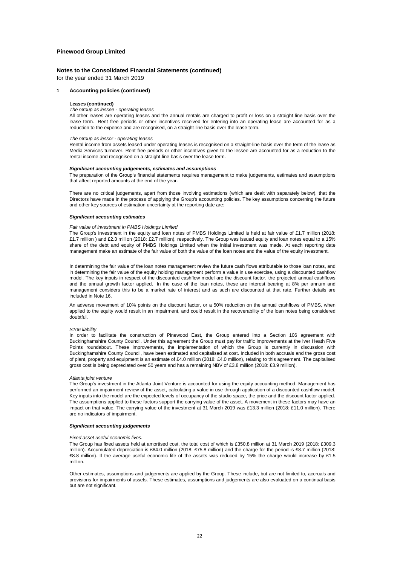# **Notes to the Consolidated Financial Statements (continued)**

for the year ended 31 March 2019

#### **1 Accounting policies (continued)**

#### **Leases (continued)**

#### *The Group as lessee - operating leases*

All other leases are operating leases and the annual rentals are charged to profit or loss on a straight line basis over the lease term. Rent free periods or other incentives received for entering into an operating lease are accounted for as a reduction to the expense and are recognised, on a straight-line basis over the lease term.

#### *The Group as lessor - operating leases*

Rental income from assets leased under operating leases is recognised on a straight-line basis over the term of the lease as Media Services turnover. Rent free periods or other incentives given to the lessee are accounted for as a reduction to the rental income and recognised on a straight-line basis over the lease term.

#### *Significant accounting judgements, estimates and assumptions*

The preparation of the Group's financial statements requires management to make judgements, estimates and assumptions that affect reported amounts at the end of the year.

There are no critical judgements, apart from those involving estimations (which are dealt with separately below), that the Directors have made in the process of applying the Group's accounting policies. The key assumptions concerning the future and other key sources of estimation uncertainty at the reporting date are:

#### *Significant accounting estimates*

#### *Fair value of investment in PMBS Holdings Limited*

The Group's investment in the equity and loan notes of PMBS Holdings Limited is held at fair value of £1.7 million (2018: £1.7 million ) and £2.3 million (2018: £2.7 million), respectively. The Group was issued equity and loan notes equal to a 15% share of the debt and equity of PMBS Holdings Limited when the initial investment was made. At each reporting date management make an estimate of the fair value of both the value of the loan notes and the value of the equity investment.

In determining the fair value of the loan notes management review the future cash flows attributable to those loan notes, and in determining the fair value of the equity holding management perform a value in use exercise, using a discounted cashflow model. The key inputs in respect of the discounted cashflow model are the discount factor, the projected annual cashflows and the annual growth factor applied. In the case of the loan notes, these are interest bearing at 8% per annum and management considers this to be a market rate of interest and as such are discounted at that rate. Further details are included in Note 16.

An adverse movement of 10% points on the discount factor, or a 50% reduction on the annual cashflows of PMBS, when applied to the equity would result in an impairment, and could result in the recoverability of the loan notes being considered doubtful.

### *S106 liability*

In order to facilitate the construction of Pinewood East, the Group entered into a Section 106 agreement with Buckinghamshire County Council. Under this agreement the Group must pay for traffic improvements at the Iver Heath Five Points roundabout. These improvements, the implementation of which the Group is currently in discussion with Buckinghamshire County Council, have been estimated and capitalised at cost. Included in both accruals and the gross cost of plant, property and equipment is an estimate of £4.0 million (2018: £4.0 million), relating to this agreement. The capitalised gross cost is being depreciated over 50 years and has a remaining NBV of £3.8 million (2018: £3.9 million).

#### *Atlanta joint venture*

The Group's investment in the Atlanta Joint Venture is accounted for using the equity accounting method. Management has performed an impairment review of the asset, calculating a value in use through application of a discounted cashflow model. Key inputs into the model are the expected levels of occupancy of the studio space, the price and the discount factor applied. The assumptions applied to these factors support the carrying value of the asset. A movement in these factors may have an impact on that value. The carrying value of the investment at 31 March 2019 was £13.3 million (2018: £11.0 million). There are no indicators of impairment.

#### *Significant accounting judgements*

#### *Fixed asset useful economic lives.*

The Group has fixed assets held at amortised cost, the total cost of which is £350.8 million at 31 March 2019 (2018: £309.3 million). Accumulated depreciation is £84.0 million (2018: £75.8 million) and the charge for the period is £8.7 million (2018: £8.8 million). If the average useful economic life of the assets was reduced by 15% the charge would increase by £1.5 million.

Other estimates, assumptions and judgements are applied by the Group. These include, but are not limited to, accruals and provisions for impairments of assets. These estimates, assumptions and judgements are also evaluated on a continual basis but are not significant.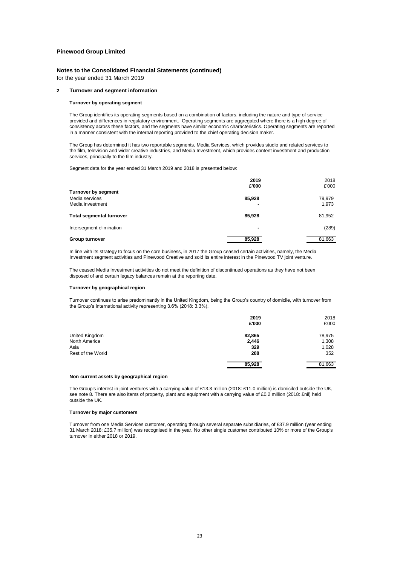### **Notes to the Consolidated Financial Statements (continued)**

for the year ended 31 March 2019

#### **2 Turnover and segment information**

#### **Turnover by operating segment**

The Group identifies its operating segments based on a combination of factors, including the nature and type of service provided and differences in regulatory environment. Operating segments are aggregated where there is a high degree of consistency across these factors, and the segments have similar economic characteristics. Operating segments are reported in a manner consistent with the internal reporting provided to the chief operating decision maker.

The Group has determined it has two reportable segments, Media Services, which provides studio and related services to the film, television and wider creative industries, and Media Investment, which provides content investment and production services, principally to the film industry.

Segment data for the year ended 31 March 2019 and 2018 is presented below:

|                                 | 2019   | 2018   |
|---------------------------------|--------|--------|
|                                 | £'000  | £'000  |
| Turnover by segment             |        |        |
| Media services                  | 85,928 | 79,979 |
| Media investment                | -      | 1,973  |
| <b>Total segmental turnover</b> | 85,928 | 81,952 |
| Intersegment elimination        | ۰      | (289)  |
| Group turnover                  | 85,928 | 81,663 |
|                                 |        |        |

In line with its strategy to focus on the core business, in 2017 the Group ceased certain activities, namely, the Media Investment segment activities and Pinewood Creative and sold its entire interest in the Pinewood TV joint venture.

The ceased Media Investment activities do not meet the definition of discontinued operations as they have not been disposed of and certain legacy balances remain at the reporting date.

#### **Turnover by geographical region**

Turnover continues to arise predominantly in the United Kingdom, being the Group's country of domicile, with turnover from the Group's international activity representing 3.6% (2018: 3.3%).

|                   | 2019   | 2018   |
|-------------------|--------|--------|
|                   | £'000  | £'000  |
| United Kingdom    | 82,865 | 78,975 |
| North America     | 2,446  | 1,308  |
| Asia              | 329    | 1,028  |
| Rest of the World | 288    | 352    |
|                   | 85,928 | 81,663 |

#### **Non current assets by geographical region**

The Group's interest in joint ventures with a carrying value of £13.3 million (2018: £11.0 million) is domiciled outside the UK, see note 8. There are also items of property, plant and equipment with a carrying value of £0.2 million (2018: £nil) held outside the UK.

#### **Turnover by major customers**

Turnover from one Media Services customer, operating through several separate subsidiaries, of £37.9 million (year ending 31 March 2018: £35.7 million) was recognised in the year. No other single customer contributed 10% or more of the Group's turnover in either 2018 or 2019.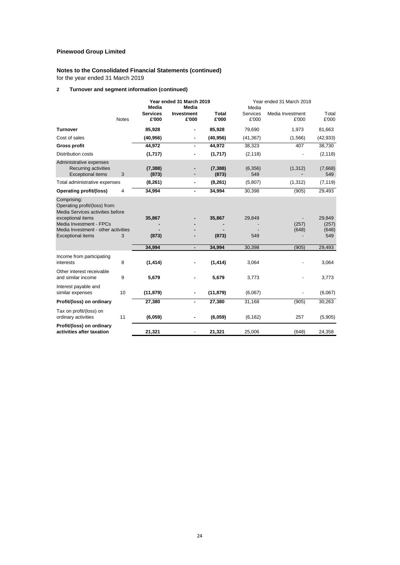# **Notes to the Consolidated Financial Statements (continued)** for the year ended 31 March 2019

# **2 Turnover and segment information (continued)**

|                                                                                                                                                                                                     |              | Media             | Year ended 31 March 2019<br>Media |                       | Media             | Year ended 31 March 2018  |                                 |
|-----------------------------------------------------------------------------------------------------------------------------------------------------------------------------------------------------|--------------|-------------------|-----------------------------------|-----------------------|-------------------|---------------------------|---------------------------------|
|                                                                                                                                                                                                     | <b>Notes</b> | Services<br>£'000 | Investment<br>£'000               | <b>Total</b><br>£'000 | Services<br>£'000 | Media Investment<br>£'000 | Total<br>£'000                  |
| <b>Turnover</b>                                                                                                                                                                                     |              | 85,928            |                                   | 85,928                | 79,690            | 1,973                     | 81,663                          |
| Cost of sales                                                                                                                                                                                       |              | (40, 956)         | ۰.                                | (40, 956)             | (41, 367)         | (1,566)                   | (42, 933)                       |
| <b>Gross profit</b>                                                                                                                                                                                 |              | 44,972            | ۰                                 | 44,972                | 38,323            | 407                       | 38,730                          |
| <b>Distribution costs</b>                                                                                                                                                                           |              | (1,717)           | ۰                                 | (1,717)               | (2, 118)          |                           | (2, 118)                        |
| Administrative expenses<br>Recurring activities<br><b>Exceptional items</b>                                                                                                                         | 3            | (7, 388)<br>(873) | $\blacksquare$                    | (7, 388)<br>(873)     | (6, 356)<br>549   | (1, 312)                  | (7,668)<br>549                  |
| Total administrative expenses                                                                                                                                                                       |              | (8, 261)          | ۰.                                | (8, 261)              | (5,807)           | (1, 312)                  | (7, 119)                        |
| Operating profit/(loss)                                                                                                                                                                             | 4            | 34,994            | $\blacksquare$                    | 34,994                | 30,398            | (905)                     | 29,493                          |
| Comprising:<br>Operating profit/(loss) from:<br>Media Services activities before<br>exceptional items<br>Media Investment - FPCs<br>Media Investment - other activities<br><b>Exceptional items</b> | 3            | 35,867<br>(873)   |                                   | 35,867<br>(873)       | 29,849<br>549     | (257)<br>(648)            | 29,849<br>(257)<br>(648)<br>549 |
|                                                                                                                                                                                                     |              | 34,994            | $\overline{\phantom{0}}$          | 34,994                | 30,398            | (905)                     | 29,493                          |
| Income from participating<br>interests                                                                                                                                                              | 8            | (1, 414)          |                                   | (1, 414)              | 3,064             |                           | 3,064                           |
| Other interest receivable<br>and similar income                                                                                                                                                     | 9            | 5,679             |                                   | 5,679                 | 3,773             |                           | 3,773                           |
| Interest payable and<br>similar expenses                                                                                                                                                            | 10           | (11, 879)         |                                   | (11, 879)             | (6,067)           |                           | (6,067)                         |
| Profit/(loss) on ordinary                                                                                                                                                                           |              | 27,380            | $\blacksquare$                    | 27,380                | 31,168            | (905)                     | 30,263                          |
| Tax on profit/(loss) on<br>ordinary activities                                                                                                                                                      | 11           | (6,059)           | ۰                                 | (6,059)               | (6, 162)          | 257                       | (5,905)                         |
| Profit/(loss) on ordinary<br>activities after taxation                                                                                                                                              |              | 21,321            |                                   | 21,321                | 25,006            | (648)                     | 24,358                          |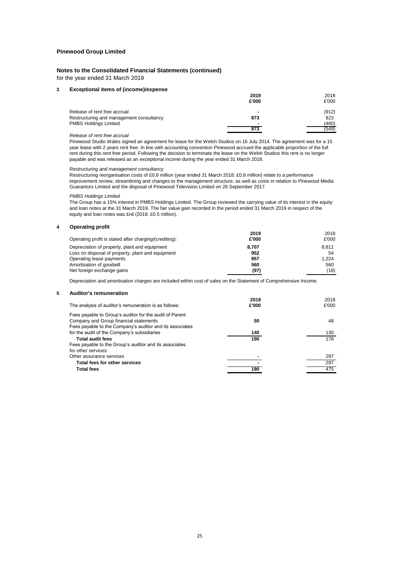# **Notes to the Consolidated Financial Statements (continued)**

for the year ended 31 March 2019

### **3 Exceptional items of (income)/expense**

|                                          | 2019  | 2018  |
|------------------------------------------|-------|-------|
|                                          | £'000 | £'000 |
| Release of rent free accrual             |       | (912) |
| Restructuring and management consultancy | 873   | 823   |
| <b>PMBS Holdings Limited</b>             | ۰     | (460) |
|                                          | 873   | (549) |
| Release of rent free accrual             |       |       |

Pinewood Studio Wales signed an agreement for lease for the Welsh Studios on 16 July 2014. The agreement was for a 15 year lease with 2 years rent free. In line with accounting convention Pinewood accrued the applicable proportion of the full rent during this rent free period. Following the decision to terminate the lease on the Welsh Studios this rent is no longer payable and was released as an exceptional income during the year ended 31 March 2018.

#### *Restructuring and management consultancy*

Restructuring reorganisation costs of £0.9 million (year ended 31 March 2018: £0.8 million) relate to a performance improvement review, streamlining and changes to the management structure, as well as costs in relation to Pinewood Media Guarantors Limited and the disposal of Pinewood Television Limited on 26 September 2017.

### *PMBS Holdings Limited*

The Group has a 15% interest in PMBS Holdings Limited. The Group reviewed the carrying value of its interest in the equity and loan notes at the 31 March 2019. The fair value gain recorded in the period ended 31 March 2019 in respect of the equity and loan notes was £nil (2018: £0.5 million).

### **4 Operating profit**

|                                                        | 2019  | 2018  |
|--------------------------------------------------------|-------|-------|
| Operating profit is stated after charging/(crediting): | £'000 | £'000 |
| Depreciation of property, plant and equipment          | 8.707 | 8.811 |
| Loss on disposal of property, plant and equipment      | 952   | 54    |
| Operating lease payments                               | 957   | 1.224 |
| Amortisation of goodwill                               | 560   | 560   |
| Net foreign exchange gains                             | (97)  | (18)  |

Depreciation and amortisation charges are included within cost of sales on the Statement of Comprehensive Income.

#### **5 Auditor's remuneration**

|                                                          | 2019  | 2018  |
|----------------------------------------------------------|-------|-------|
| The analysis of auditor's remuneration is as follows:    | £'000 | £'000 |
| Fees payable to Group's auditor for the audit of Parent  |       |       |
| Company and Group financial statements                   | 50    | 48    |
| Fees payable to the Company's auditor and its associates |       |       |
| for the audit of the Company's subsidiaries              | 140   | 130   |
| <b>Total audit fees</b>                                  | 190   | 178   |
| Fees payable to the Group's auditor and its associates   |       |       |
| for other services:                                      |       |       |
| Other assurance services                                 |       | 297   |
| Total fees for other services                            |       | 297   |
| <b>Total fees</b>                                        | 190   | 475   |
|                                                          |       |       |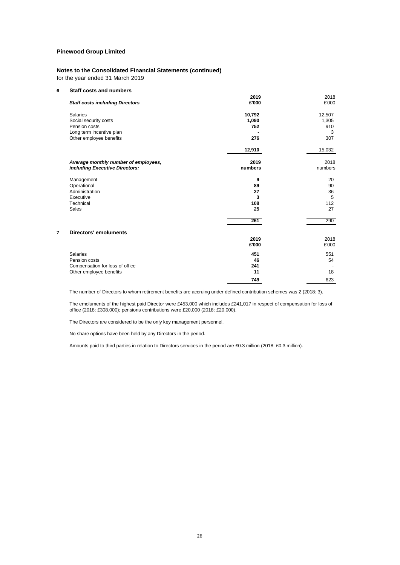# **Notes to the Consolidated Financial Statements (continued)**

for the year ended 31 March 2019

### **6 Staff costs and numbers**

|                                        | 2019    | 2018    |
|----------------------------------------|---------|---------|
| <b>Staff costs including Directors</b> | £'000   | £'000   |
| <b>Salaries</b>                        | 10,792  | 12,507  |
| Social security costs                  | 1,090   | 1,305   |
| Pension costs                          | 752     | 910     |
| Long term incentive plan               |         | 3       |
| Other employee benefits                | 276     | 307     |
|                                        | 12,910  | 15,032  |
| Average monthly number of employees,   | 2019    | 2018    |
| including Executive Directors:         | numbers | numbers |
| Management                             | 9       | 20      |
| Operational                            | 89      | 90      |
| Administration                         | 27      | 36      |
| Executive                              | 3       | 5       |
| Technical                              | 108     | 112     |
| <b>Sales</b>                           | 25      | 27      |
|                                        | 261     | 290     |
| 7<br><b>Directors' emoluments</b>      |         |         |
|                                        | 2019    | 2018    |
|                                        | £'000   | £'000   |
| Salaries                               | 451     | 551     |
| Pension costs                          | 46      | 54      |
| Compensation for loss of office        | 241     |         |
| Other employee benefits                | 11      | 18      |
|                                        | 749     | 623     |

The number of Directors to whom retirement benefits are accruing under defined contribution schemes was 2 (2018: 3).

The emoluments of the highest paid Director were £453,000 which includes £241,017 in respect of compensation for loss of office (2018: £308,000); pensions contributions were £20,000 (2018: £20,000).

The Directors are considered to be the only key management personnel.

No share options have been held by any Directors in the period.

Amounts paid to third parties in relation to Directors services in the period are £0.3 million (2018: £0.3 million).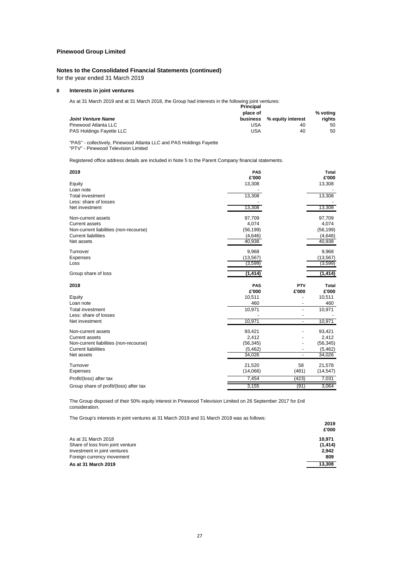# **Notes to the Consolidated Financial Statements (continued)**

for the year ended 31 March 2019

### **8 Interests in joint ventures**

As at 31 March 2019 and at 31 March 2018, the Group had interests in the following joint ventures:

|                          | <b>Principal</b> |                   |          |
|--------------------------|------------------|-------------------|----------|
|                          | place of         |                   | % voting |
| Joint Venture Name       | business         | % equity interest | riahts   |
| Pinewood Atlanta LLC     | USA              | 40                | 50       |
| PAS Holdings Fayette LLC | USA              | 40                | 50       |
|                          |                  |                   |          |

"PAS" - collectively, Pinewood Atlanta LLC and PAS Holdings Fayette "PTV" - Pinewood Television Limited

Registered office address details are included in Note 5 to the Parent Company financial statements.

| 2019                                   | <b>PAS</b><br>£'000 |                | <b>Total</b><br>£'000 |
|----------------------------------------|---------------------|----------------|-----------------------|
| Equity                                 | 13,308              |                | 13,308                |
| Loan note                              |                     |                |                       |
| <b>Total investment</b>                | 13,308              |                | 13,308                |
| Less: share of losses                  |                     |                |                       |
| Net investment                         | 13,308              |                | 13,308                |
| Non-current assets                     | 97,709              |                | 97,709                |
| <b>Current assets</b>                  | 4,074               |                | 4,074                 |
| Non-current liabilities (non-recourse) | (56, 199)           |                | (56, 199)             |
| <b>Current liabilities</b>             | (4,646)             |                | (4,646)               |
| Net assets                             | 40,938              |                | 40,938                |
| Turnover                               | 9,968               |                | 9,968                 |
| Expenses                               | (13, 567)           |                | (13, 567)             |
| Loss                                   | (3,599)             |                | (3,599)               |
| Group share of loss                    | (1, 414)            |                | (1, 414)              |
| 2018                                   | <b>PAS</b>          | PTV            | <b>Total</b>          |
|                                        | £'000               | £'000          | £'000                 |
| Equity                                 | 10,511              |                | 10,511                |
| Loan note                              | 460                 |                | 460                   |
| <b>Total investment</b>                | 10,971              | $\overline{a}$ | 10,971                |
| Less: share of losses                  |                     |                |                       |
| Net investment                         | 10,971              |                | 10,971                |
| Non-current assets                     | 93,421              |                | 93,421                |
| <b>Current assets</b>                  | 2,412               |                | 2,412                 |
| Non-current liabilities (non-recourse) | (56, 345)           |                | (56, 345)             |
| <b>Current liabilities</b>             | (5,462)             |                | (5,462)               |
| Net assets                             | 34,026              |                | 34,026                |
| Turnover                               | 21,520              | 58             | 21,578                |
| Expenses                               | (14,066)            | (481)          | (14, 547)             |
| Profit/(loss) after tax                | 7,454               | (423)          | 7,031                 |
| Group share of profit/(loss) after tax |                     |                |                       |

The Group disposed of their 50% equity interest in Pinewood Television Limited on 26 September 2017 for £nil consideration.

The Group's interests in joint ventures at 31 March 2019 and 31 March 2018 was as follows:

| THE GROUPS INTERESTS IN JOINT VEHICLES AT 3 F IVIALGH ZO BE AND ST IVIALGH ZO TO WAS AS TOIJOWS. |          |
|--------------------------------------------------------------------------------------------------|----------|
|                                                                                                  | 2019     |
|                                                                                                  | £'000    |
| As at 31 March 2018                                                                              | 10.971   |
| Share of loss from joint venture                                                                 | (1, 414) |
| Investment in joint ventures                                                                     | 2.942    |
| Foreign currency movement                                                                        | 809      |
| As at 31 March 2019                                                                              | 13.308   |
|                                                                                                  |          |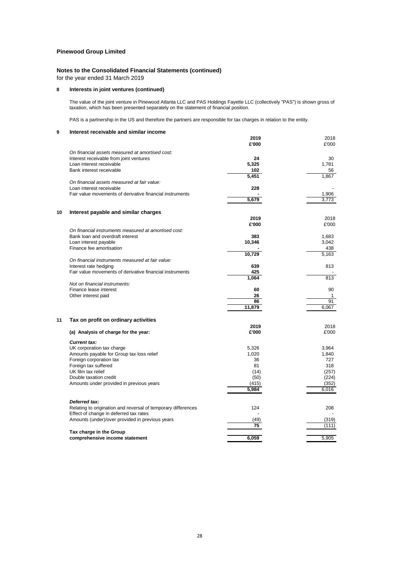# **Notes to the Consolidated Financial Statements (continued)**

for the year ended 31 March 2019

# **8 Interests in joint ventures (continued)**

The value of the joint venture in Pinewood Atlanta LLC and PAS Holdings Fayette LLC (collectively "PAS") is shown gross of taxation, which has been presented separately on the statement of financial position.

PAS is a partnership in the US and therefore the partners are responsible for tax charges in relation to the entity.

### **9 Interest receivable and similar income**

|    |                                                               | 2019     | 2018         |
|----|---------------------------------------------------------------|----------|--------------|
|    |                                                               | £'000    | £'000        |
|    | On financial assets measured at amortised cost:               |          |              |
|    | Interest receivable from joint ventures                       | 24       | 30           |
|    | Loan interest receivable                                      | 5,325    | 1,781        |
|    | Bank interest receivable                                      | 102      | 56           |
|    |                                                               | 5.451    | 1,867        |
|    | On financial assets measured at fair value:                   |          |              |
|    | Loan interest receivable                                      | 228      |              |
|    | Fair value movements of derivative financial instruments      |          | 1,906        |
|    |                                                               | 5,679    | 3,773        |
|    |                                                               |          |              |
| 10 |                                                               |          |              |
|    | Interest payable and similar charges                          | 2019     | 2018         |
|    |                                                               | £'000    | £'000        |
|    |                                                               |          |              |
|    | On financial instruments measured at amortised cost:          |          |              |
|    | Bank loan and overdraft interest                              | 383      | 1,683        |
|    | Loan interest payable                                         | 10,346   | 3,042        |
|    | Finance fee amortisation                                      |          | 438          |
|    |                                                               | 10,729   | 5,163        |
|    | On financial instruments measured at fair value:              |          |              |
|    | Interest rate hedging                                         | 639      | 813          |
|    | Fair value movements of derivative financial instruments      | 425      |              |
|    |                                                               | 1,064    | 813          |
|    | Not on financial instruments:                                 |          | 90           |
|    | Finance lease interest                                        | 60<br>26 | $\mathbf{1}$ |
|    | Other interest paid                                           | 86       | 91           |
|    |                                                               | 11,879   | 6,067        |
|    |                                                               |          |              |
|    |                                                               |          |              |
| 11 | Tax on profit on ordinary activities                          |          |              |
|    |                                                               | 2019     | 2018         |
|    | (a) Analysis of charge for the year:                          | £'000    | £'000        |
|    | <b>Current tax:</b>                                           |          |              |
|    | UK corporation tax charge                                     | 5,326    | 3,964        |
|    | Amounts payable for Group tax loss relief                     | 1,020    | 1,840        |
|    | Foreign corporation tax                                       | 36       | 727          |
|    | Foreign tax suffered                                          | 81       | 318          |
|    | UK film tax relief                                            | (14)     | (257)        |
|    | Double taxation credit                                        | (50)     | (224)        |
|    | Amounts under provided in previous years                      | (415)    | (352)        |
|    |                                                               | 5,984    | 6,016        |
|    |                                                               |          |              |
|    | Deferred tax:                                                 |          |              |
|    | Relating to origination and reversal of temporary differences | 124      | 208          |
|    | Effect of change in deferred tax rates                        |          |              |
|    | Amounts (under)/over provided in previous years               | (49)     | (319)        |
|    |                                                               | 75       | (111)        |
|    | Tax charge in the Group                                       |          |              |
|    | comprehensive income statement                                | 6.059    | 5.905        |
|    |                                                               |          |              |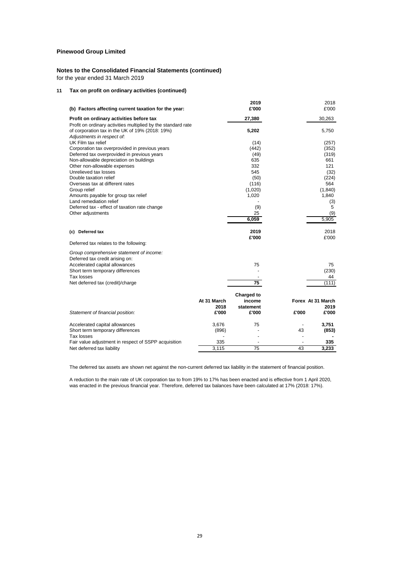# **Notes to the Consolidated Financial Statements (continued)** for the year ended 31 March 2019

# **11 Tax on profit on ordinary activities (continued)**

| (b) Factors affecting current taxation for the year:                                                                                           |               | 2019<br>£'000      |       | 2018<br>£'000     |
|------------------------------------------------------------------------------------------------------------------------------------------------|---------------|--------------------|-------|-------------------|
| Profit on ordinary activities before tax                                                                                                       |               | 27,380             |       | 30,263            |
| Profit on ordinary activities multiplied by the standard rate<br>of corporation tax in the UK of 19% (2018: 19%)<br>Adjustments in respect of: |               | 5,202              |       | 5,750             |
| UK Film tax relief<br>Corporation tax overprovided in previous years                                                                           |               | (14)<br>(442)      |       | (257)<br>(352)    |
| Deferred tax overprovided in previous years                                                                                                    |               | (49)               |       | (319)             |
| Non-allowable depreciation on buildings<br>Other non-allowable expenses                                                                        |               | 635<br>332         |       | 661<br>121        |
| Unrelieved tax losses                                                                                                                          |               | 545                |       | (32)              |
| Double taxation relief                                                                                                                         |               | (50)               |       | (224)             |
| Overseas tax at different rates                                                                                                                |               | (116)              |       | 564               |
| Group relief                                                                                                                                   |               | (1,020)            |       | (1, 840)          |
| Amounts payable for group tax relief                                                                                                           |               | 1,020              |       | 1,840             |
| Land remediation relief                                                                                                                        |               |                    |       | (3)               |
| Deferred tax - effect of taxation rate change                                                                                                  |               | (9)                |       | 5                 |
| Other adjustments                                                                                                                              |               | 25                 |       | (9)               |
|                                                                                                                                                |               | 6,059              |       | 5,905             |
| (c) Deferred tax                                                                                                                               |               | 2019               |       | 2018              |
| Deferred tax relates to the following:                                                                                                         |               | £'000              |       | £'000             |
| Group comprehensive statement of income:<br>Deferred tax credit arising on:                                                                    |               |                    |       |                   |
| Accelerated capital allowances                                                                                                                 |               | 75                 |       | 75                |
| Short term temporary differences                                                                                                               |               |                    |       | (230)             |
| Tax losses                                                                                                                                     |               |                    |       | 44                |
| Net deferred tax (credit)/charge                                                                                                               |               | 75                 |       | (111)             |
|                                                                                                                                                |               | Charged to         |       |                   |
|                                                                                                                                                | At 31 March   | income             |       | Forex At 31 March |
|                                                                                                                                                | 2018<br>£'000 | statement<br>£'000 | £'000 | 2019<br>£'000     |
| Statement of financial position:                                                                                                               |               |                    |       |                   |
| Accelerated capital allowances                                                                                                                 | 3,676         | 75                 |       | 3.751             |
| Short term temporary differences                                                                                                               | (896)         |                    | 43    | (853)             |
| Tax losses                                                                                                                                     |               |                    |       |                   |
| Fair value adjustment in respect of SSPP acquisition<br>Net deferred tax liability                                                             | 335<br>3.115  | 75                 | 43    | 335<br>3,233      |
|                                                                                                                                                |               |                    |       |                   |

The deferred tax assets are shown net against the non-current deferred tax liability in the statement of financial position.

A reduction to the main rate of UK corporation tax to from 19% to 17% has been enacted and is effective from 1 April 2020, was enacted in the previous financial year. Therefore, deferred tax balances have been calculated at 17% (2018: 17%).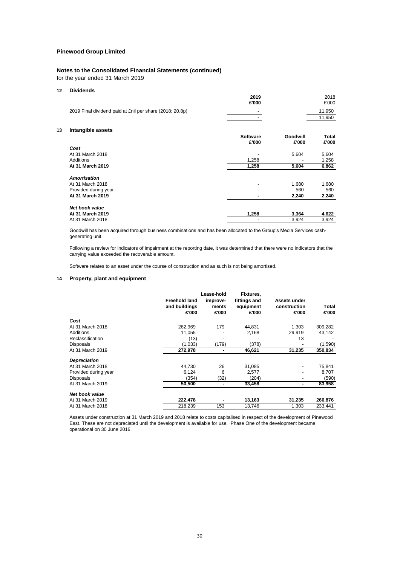# **Notes to the Consolidated Financial Statements (continued)**

for the year ended 31 March 2019

### **12 Dividends**

|    |                                                          | 2019<br>£'000            |                   | 2018<br>£'000  |
|----|----------------------------------------------------------|--------------------------|-------------------|----------------|
|    | 2019 Final dividend paid at £nil per share (2018: 20.8p) |                          |                   | 11,950         |
|    |                                                          |                          |                   | 11,950         |
| 13 | Intangible assets                                        |                          |                   |                |
|    |                                                          | <b>Software</b><br>£'000 | Goodwill<br>£'000 | Total<br>£'000 |
|    | Cost                                                     |                          |                   |                |
|    | At 31 March 2018                                         |                          | 5,604             | 5,604          |
|    | Additions                                                | 1,258                    |                   | 1,258          |
|    | At 31 March 2019                                         | 1,258                    | 5,604             | 6,862          |
|    | <b>Amortisation</b>                                      |                          |                   |                |
|    | At 31 March 2018                                         |                          | 1,680             | 1,680          |
|    | Provided during year                                     |                          | 560               | 560            |
|    | At 31 March 2019                                         |                          | 2,240             | 2,240          |
|    | Net book value                                           |                          |                   |                |
|    | At 31 March 2019                                         | 1,258                    | 3,364             | 4,622          |
|    | At 31 March 2018                                         |                          | 3,924             | 3,924          |

Goodwill has been acquired through business combinations and has been allocated to the Group's Media Services cashgenerating unit.

Following a review for indicators of impairment at the reporting date, it was determined that there were no indicators that the carrying value exceeded the recoverable amount.

Software relates to an asset under the course of construction and as such is not being amortised.

### **14 Property, plant and equipment**

|                      |                                                | Lease-hold                 | Fixtures,                          |                                       |                |
|----------------------|------------------------------------------------|----------------------------|------------------------------------|---------------------------------------|----------------|
|                      | <b>Freehold land</b><br>and buildings<br>£'000 | improve-<br>ments<br>£'000 | fittings and<br>equipment<br>£'000 | Assets under<br>construction<br>£'000 | Total<br>£'000 |
| Cost                 |                                                |                            |                                    |                                       |                |
| At 31 March 2018     | 262,969                                        | 179                        | 44,831                             | 1,303                                 | 309,282        |
| Additions            | 11,055                                         |                            | 2,168                              | 29,919                                | 43,142         |
| Reclassification     | (13)                                           |                            |                                    | 13                                    |                |
| <b>Disposals</b>     | (1,033)                                        | (179)                      | (378)                              |                                       | (1,590)        |
| At 31 March 2019     | 272,978                                        | ۰                          | 46,621                             | 31,235                                | 350,834        |
| <b>Depreciation</b>  |                                                |                            |                                    |                                       |                |
| At 31 March 2018     | 44.730                                         | 26                         | 31,085                             |                                       | 75.841         |
| Provided during year | 6,124                                          | 6                          | 2,577                              |                                       | 8.707          |
| <b>Disposals</b>     | (354)                                          | (32)                       | (204)                              |                                       | (590)          |
| At 31 March 2019     | 50.500                                         | ۰                          | 33,458                             | ۰                                     | 83,958         |
| Net book value       |                                                |                            |                                    |                                       |                |
| At 31 March 2019     | 222,478                                        |                            | 13,163                             | 31,235                                | 266,876        |
| At 31 March 2018     | 218,239                                        | 153                        | 13,746                             | 1,303                                 | 233,441        |

Assets under construction at 31 March 2019 and 2018 relate to costs capitalised in respect of the development of Pinewood East. These are not depreciated until the development is available for use. Phase One of the development became operational on 30 June 2016.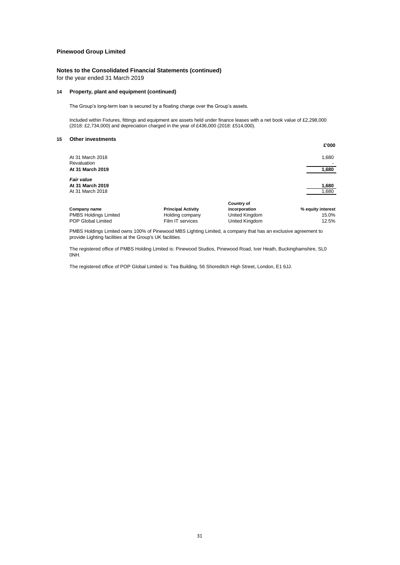# **Notes to the Consolidated Financial Statements (continued)**

for the year ended 31 March 2019

# **14 Property, plant and equipment (continued)**

The Group's long-term loan is secured by a floating charge over the Group's assets.

Included within Fixtures, fittings and equipment are assets held under finance leases with a net book value of £2,298,000 (2018: £2,734,000) and depreciation charged in the year of £436,000 (2018: £514,000).

#### **15 Other investments**

|                              |                           |                | £'000             |
|------------------------------|---------------------------|----------------|-------------------|
| At 31 March 2018             |                           |                | 1,680             |
| Revaluation                  |                           |                |                   |
| At 31 March 2019             |                           |                | 1,680             |
| <b>Fair value</b>            |                           |                |                   |
| At 31 March 2019             |                           |                | 1,680             |
| At 31 March 2018             |                           |                | 1,680             |
|                              |                           | Country of     |                   |
| Company name                 | <b>Principal Activity</b> | incorporation  | % equity interest |
| <b>PMBS Holdings Limited</b> | Holding company           | United Kingdom | 15.0%             |
| <b>POP Global Limited</b>    | Film IT services          | United Kingdom | 12.5%             |

PMBS Holdings Limited owns 100% of Pinewood MBS Lighting Limited, a company that has an exclusive agreement to provide Lighting facilities at the Group's UK facilities.

The registered office of PMBS Holding Limited is: Pinewood Studios, Pinewood Road, Iver Heath, Buckinghamshire, SL0  $0NH.$ 

The registered office of POP Global Limited is: Tea Building, 56 Shoreditch High Street, London, E1 6JJ.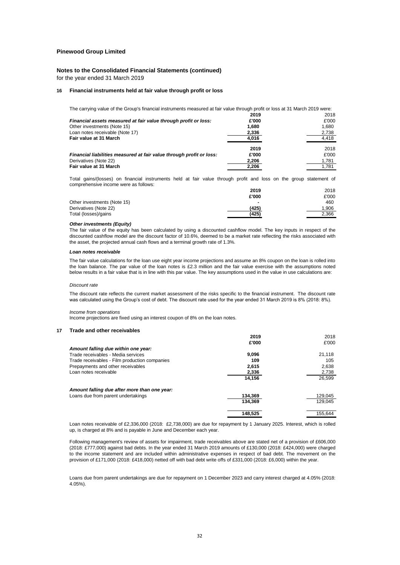# **Notes to the Consolidated Financial Statements (continued)**

for the year ended 31 March 2019

### **16 Financial instruments held at fair value through profit or loss**

The carrying value of the Group's financial instruments measured at fair value through profit or loss at 31 March 2019 were:

|                                                                      | 2019  | 2018  |
|----------------------------------------------------------------------|-------|-------|
| Financial assets measured at fair value through profit or loss:      | £'000 | £'000 |
| Other investments (Note 15)                                          | 1.680 | 1.680 |
| Loan notes receivable (Note 17)                                      | 2,336 | 2,738 |
| Fair value at 31 March                                               | 4.016 | 4.418 |
|                                                                      | 2019  | 2018  |
| Financial liabilities measured at fair value through profit or loss: | £'000 | £'000 |
| Derivatives (Note 22)                                                | 2.206 | 1,781 |
| Fair value at 31 March                                               | 2.206 | 1.781 |

Total gains/(losses) on financial instruments held at fair value through profit and loss on the group statement of comprehensive income were as follows:

|                             | 2019  | 2018  |
|-----------------------------|-------|-------|
|                             | £'000 | £'000 |
| Other investments (Note 15) |       | 460   |
| Derivatives (Note 22)       | (425) | 1.906 |
| Total (losses)/gains        | (425) | 2.366 |

#### *Other investments (Equity)*

The fair value of the equity has been calculated by using a discounted cashflow model. The key inputs in respect of the discounted cashflow model are the discount factor of 10.6%, deemed to be a market rate reflecting the risks associated with the asset, the projected annual cash flows and a terminal growth rate of 1.3%.

#### *Loan notes receivable*

The fair value calculations for the loan use eight year income projections and assume an 8% coupon on the loan is rolled into the loan balance. The par value of the loan notes is £2.3 million and the fair value exercise with the assumptions noted below results in a fair value that is in line with this par value. The key assumptions used in the value in use calculations are:

#### *Discount rate*

The discount rate reflects the current market assessment of the risks specific to the financial instrument. The discount rate was calculated using the Group's cost of debt. The discount rate used for the year ended 31 March 2019 is 8% (2018: 8%).

#### *Income from operations*

Income projections are fixed using an interest coupon of 8% on the loan notes.

#### **17 Trade and other receivables**

|                                               | 2019    | 2018    |
|-----------------------------------------------|---------|---------|
|                                               | £'000   | £'000   |
| Amount falling due within one year:           |         |         |
| Trade receivables - Media services            | 9.096   | 21.118  |
| Trade receivables - Film production companies | 109     | 105     |
| Prepayments and other receivables             | 2,615   | 2,638   |
| Loan notes receivable                         | 2,336   | 2,738   |
|                                               | 14,156  | 26,599  |
| Amount falling due after more than one year:  |         |         |
| Loans due from parent undertakings            | 134.369 | 129,045 |
|                                               | 134.369 | 129.045 |
|                                               | 148,525 | 155.644 |

Loan notes receivable of £2,336,000 (2018: £2,738,000) are due for repayment by 1 January 2025. Interest, which is rolled up, is charged at 8% and is payable in June and December each year.

Following management's review of assets for impairment, trade receivables above are stated net of a provision of £606,000 (2018: £777,000) against bad debts. In the year ended 31 March 2019 amounts of £130,000 (2018: £424,000) were charged to the income statement and are included within administrative expenses in respect of bad debt. The movement on the provision of £171,000 (2018: £418,000) netted off with bad debt write offs of £331,000 (2018: £6,000) within the year.

Loans due from parent undertakings are due for repayment on 1 December 2023 and carry interest charged at 4.05% (2018: 4.05%).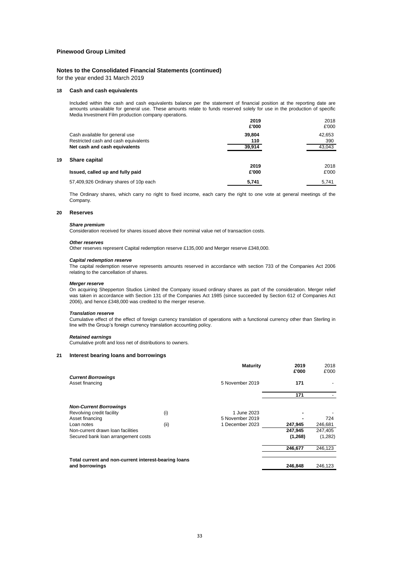### **Notes to the Consolidated Financial Statements (continued)**

for the year ended 31 March 2019

### **18 Cash and cash equivalents**

Included within the cash and cash equivalents balance per the statement of financial position at the reporting date are amounts unavailable for general use. These amounts relate to funds reserved solely for use in the production of specific Media Investment Film production company operations.

|                                        | 2019   | 2018   |
|----------------------------------------|--------|--------|
|                                        | £'000  | £'000  |
| Cash available for general use         | 39.804 | 42,653 |
| Restricted cash and cash equivalents   | 110    | 390    |
| Net cash and cash equivalents          | 39,914 | 43,043 |
| Share capital                          |        |        |
|                                        | 2019   | 2018   |
| Issued, called up and fully paid       | £'000  | £'000  |
| 57,409,926 Ordinary shares of 10p each | 5,741  | 5.741  |

The Ordinary shares, which carry no right to fixed income, each carry the right to one vote at general meetings of the Company.

#### **20 Reserves**

**19 Share capital**

#### *Share premium*

Consideration received for shares issued above their nominal value net of transaction costs.

#### *Other reserves*

Other reserves represent Capital redemption reserve £135,000 and Merger reserve £348,000.

#### *Capital redemption reserve*

The capital redemption reserve represents amounts reserved in accordance with section 733 of the Companies Act 2006 relating to the cancellation of shares.

#### *Merger reserve*

On acquiring Shepperton Studios Limited the Company issued ordinary shares as part of the consideration. Merger relief was taken in accordance with Section 131 of the Companies Act 1985 (since succeeded by Section 612 of Companies Act 2006), and hence £348,000 was credited to the merger reserve.

#### *Translation reserve*

Cumulative effect of the effect of foreign currency translation of operations with a functional currency other than Sterling in line with the Group's foreign currency translation accounting policy.

#### *Retained earnings*

Cumulative profit and loss net of distributions to owners.

### **21 Interest bearing loans and borrowings**

|                                                      |      | <b>Maturity</b> | 2019    | 2018    |
|------------------------------------------------------|------|-----------------|---------|---------|
| <b>Current Borrowings</b>                            |      |                 | £'000   | £'000   |
| Asset financing                                      |      | 5 November 2019 | 171     |         |
|                                                      |      |                 | 171     |         |
| <b>Non-Current Borrowings</b>                        |      |                 |         |         |
| Revolving credit facility                            | (i)  | 1 June 2023     |         |         |
| Asset financing                                      |      | 5 November 2019 |         | 724     |
| Loan notes                                           | (ii) | 1 December 2023 | 247,945 | 246,681 |
| Non-current drawn loan facilities                    |      |                 | 247,945 | 247,405 |
| Secured bank loan arrangement costs                  |      |                 | (1,268) | (1,282) |
|                                                      |      |                 | 246.677 | 246.123 |
|                                                      |      |                 |         |         |
| and borrowings                                       |      |                 | 246,848 | 246,123 |
| Total current and non-current interest-bearing loans |      |                 |         |         |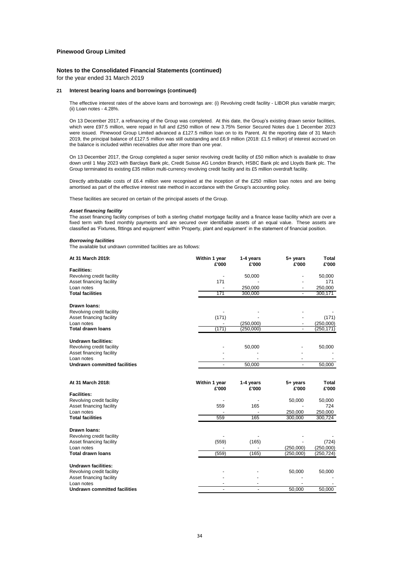# **Notes to the Consolidated Financial Statements (continued)**

for the year ended 31 March 2019

### **21 Interest bearing loans and borrowings (continued)**

The effective interest rates of the above loans and borrowings are: (i) Revolving credit facility - LIBOR plus variable margin; (ii) Loan notes - 4.28%.

On 13 December 2017, a refinancing of the Group was completed. At this date, the Group's existing drawn senior facilities, which were £97.5 million, were repaid in full and £250 million of new 3.75% Senior Secured Notes due 1 December 2023 were issued. Pinewood Group Limited advanced a £127.5 million loan on to its Parent. At the reporting date of 31 March 2019, the principal balance of £127.5 million was still outstanding and £6.9 million (2018: £1.5 million) of interest accrued on the balance is included within receivables due after more than one year.

On 13 December 2017, the Group completed a super senior revolving credit facility of £50 million which is available to draw down until 1 May 2023 with Barclays Bank plc, Credit Suisse AG London Branch, HSBC Bank plc and Lloyds Bank plc. The Group terminated its existing £35 million multi-currency revolving credit facility and its £5 million overdraft facility.

Directly attributable costs of £6.4 million were recognised at the inception of the £250 million loan notes and are being amortised as part of the effective interest rate method in accordance with the Group's accounting policy.

These facilities are secured on certain of the principal assets of the Group.

#### *Asset financing facility*

The asset financing facility comprises of both a sterling chattel mortgage facility and a finance lease facility which are over a fixed term with fixed monthly payments and are secured over identifiable assets of an equal value. These assets are classified as 'Fixtures, fittings and equipment' within 'Property, plant and equipment' in the statement of financial position.

#### *Borrowing facilities*

The available but undrawn committed facilities are as follows:

| At 31 March 2019:                   | Within 1 year<br>£'000 | 1-4 years<br>£'000 | 5+ years<br>£'000 | Total<br>£'000 |
|-------------------------------------|------------------------|--------------------|-------------------|----------------|
| <b>Facilities:</b>                  |                        |                    |                   |                |
| Revolving credit facility           |                        | 50,000             |                   | 50,000         |
| Asset financing facility            | 171                    |                    |                   | 171            |
| Loan notes                          |                        | 250,000            |                   | 250,000        |
| <b>Total facilities</b>             | 171                    | 300,000            |                   | 300,171        |
| <b>Drawn Ioans:</b>                 |                        |                    |                   |                |
| Revolving credit facility           |                        |                    |                   |                |
| Asset financing facility            | (171)                  |                    |                   | (171)          |
| Loan notes                          |                        | (250,000)          |                   | (250,000)      |
| Total drawn Ioans                   | (171)                  | (250,000)          |                   | (250, 171)     |
| Undrawn facilities:                 |                        |                    |                   |                |
| Revolving credit facility           |                        | 50,000             |                   | 50,000         |
| Asset financing facility            |                        |                    |                   |                |
| Loan notes                          |                        |                    |                   |                |
| <b>Undrawn committed facilities</b> |                        | 50,000             | $\overline{a}$    | 50,000         |
| At 31 March 2018:                   | Within 1 year          | 1-4 years          | 5+ years          | Total          |
|                                     | £'000                  | £'000              | £'000             | £'000          |
| <b>Facilities:</b>                  |                        |                    |                   |                |
| Revolving credit facility           |                        |                    | 50,000            | 50,000         |
| Asset financing facility            | 559                    | 165                |                   | 724            |
| Loan notes                          |                        |                    | 250,000           | 250,000        |
| <b>Total facilities</b>             | 559                    | 165                | 300,000           | 300,724        |
| Drawn Ioans:                        |                        |                    |                   |                |
| Revolving credit facility           |                        |                    |                   |                |
| Asset financing facility            | (559)                  | (165)              |                   | (724)          |
| Loan notes                          |                        |                    | (250,000)         | (250,000)      |
| Total drawn Ioans                   | (559)                  | (165)              | (250,000)         | (250, 724)     |
| Undrawn facilities:                 |                        |                    |                   |                |
| Revolving credit facility           |                        |                    | 50,000            | 50,000         |
| Asset financing facility            |                        |                    |                   |                |
| Loan notes                          |                        |                    |                   |                |
| <b>Undrawn committed facilities</b> |                        |                    | 50,000            | 50,000         |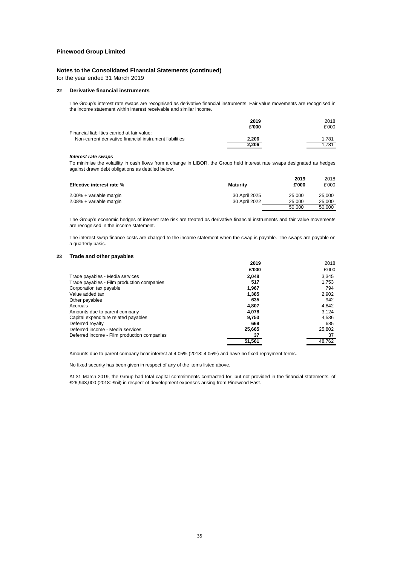# **Notes to the Consolidated Financial Statements (continued)**

for the year ended 31 March 2019

#### **22 Derivative financial instruments**

The Group's interest rate swaps are recognised as derivative financial instruments. Fair value movements are recognised in the income statement within interest receivable and similar income.

|                                                         | 2019  | 2018  |
|---------------------------------------------------------|-------|-------|
|                                                         | £'000 | £'000 |
| Financial liabilities carried at fair value:            |       |       |
| Non-current derivative financial instrument liabilities | 2.206 | 1.781 |
|                                                         | 2.206 | 1.781 |

#### *Interest rate swaps*

To minimise the volatility in cash flows from a change in LIBOR, the Group held interest rate swaps designated as hedges against drawn debt obligations as detailed below.

| <b>Effective interest rate %</b> | <b>Maturity</b> | 2019<br>£'000 | 2018<br>£'000 |
|----------------------------------|-----------------|---------------|---------------|
| 2.00% + variable margin          | 30 April 2025   | 25.000        | 25,000        |
| 2.08% + variable margin          | 30 April 2022   | 25.000        | 25,000        |
|                                  |                 | 50.000        | 50.000        |

The Group's economic hedges of interest rate risk are treated as derivative financial instruments and fair value movements are recognised in the income statement.

The interest swap finance costs are charged to the income statement when the swap is payable. The swaps are payable on a quarterly basis.

### **23 Trade and other payables**

|                                             | 2019   | 2018   |
|---------------------------------------------|--------|--------|
|                                             | £'000  | £'000  |
| Trade payables - Media services             | 2.048  | 3.345  |
| Trade payables - Film production companies  | 517    | 1.753  |
| Corporation tax payable                     | 1.967  | 794    |
| Value added tax                             | 1.385  | 2,902  |
| Other payables                              | 635    | 942    |
| Accruals                                    | 4.807  | 4.842  |
| Amounts due to parent company               | 4,078  | 3.124  |
| Capital expenditure related payables        | 9.753  | 4.536  |
| Deferred royalty                            | 669    | 685    |
| Deferred income - Media services            | 25.665 | 25,802 |
| Deferred income - Film production companies | 37     | 37     |
|                                             | 51,561 | 48.762 |

Amounts due to parent company bear interest at 4.05% (2018: 4.05%) and have no fixed repayment terms.

No fixed security has been given in respect of any of the items listed above.

At 31 March 2019, the Group had total capital commitments contracted for, but not provided in the financial statements, of £26,943,000 (2018: £nil) in respect of development expenses arising from Pinewood East.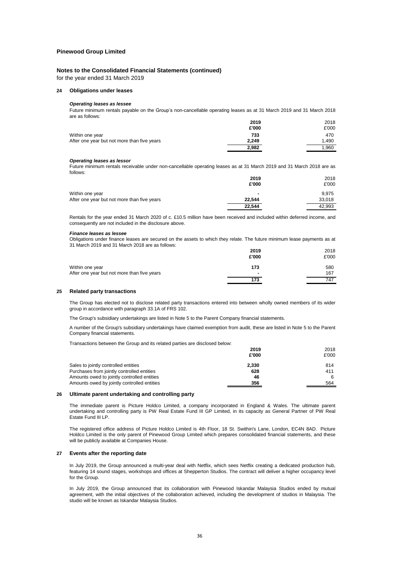### **Notes to the Consolidated Financial Statements (continued)**

for the year ended 31 March 2019

#### **24 Obligations under leases**

#### *Operating leases as lessee*

Future minimum rentals payable on the Group's non-cancellable operating leases as at 31 March 2019 and 31 March 2018 are as follows:

|                                             | 2019  | 2018  |
|---------------------------------------------|-------|-------|
|                                             | £'000 | £'000 |
| Within one year                             | 733   | 470   |
| After one year but not more than five years | 2.249 | 1.490 |
|                                             | 2.982 | 1.960 |

#### *Operating leases as lessor*

Future minimum rentals receivable under non-cancellable operating leases as at 31 March 2019 and 31 March 2018 are as follows:

|                                             | 2019   | 2018   |
|---------------------------------------------|--------|--------|
|                                             | £'000  | £'000  |
| Within one year                             | ۰      | 9.975  |
| After one year but not more than five years | 22.544 | 33.018 |
|                                             | 22.544 | 42.993 |

Rentals for the year ended 31 March 2020 of c. £10.5 million have been received and included within deferred income, and consequently are not included in the disclosure above.

#### *Finance leases as lessee*

Obligations under finance leases are secured on the assets to which they relate. The future minimum lease payments as at 31 March 2019 and 31 March 2018 are as follows:

|                                             | 2019<br>£'000            | 2018<br>£'000 |
|---------------------------------------------|--------------------------|---------------|
| Within one year                             | 173                      | 580           |
| After one year but not more than five years | $\overline{\phantom{a}}$ | 167           |
|                                             | 173                      | 747           |

#### **25 Related party transactions**

The Group has elected not to disclose related party transactions entered into between wholly owned members of its wider group in accordance with paragraph 33.1A of FRS 102.

The Group's subsidiary undertakings are listed in Note 5 to the Parent Company financial statements.

A number of the Group's subsidiary undertakings have claimed exemption from audit, these are listed in Note 5 to the Parent Company financial statements.

Transactions between the Group and its related parties are disclosed below:

|                                             | 2019  | 2018  |
|---------------------------------------------|-------|-------|
|                                             | £'000 | £'000 |
| Sales to jointly controlled entities        | 2.330 | 814   |
| Purchases from jointly controlled entities  | 628   | 411   |
| Amounts owed to jointly controlled entities | 46    |       |
| Amounts owed by jointly controlled entities | 356   | 564   |

### **26 Ultimate parent undertaking and controlling party**

The immediate parent is Picture Holdco Limited, a company incorporated in England & Wales. The ultimate parent undertaking and controlling party is PW Real Estate Fund III GP Limited, in its capacity as General Partner of PW Real Estate Fund III LP.

The registered office address of Picture Holdco Limited is 4th Floor, 18 St. Swithin's Lane, London, EC4N 8AD. Picture Holdco Limited is the only parent of Pinewood Group Limited which prepares consolidated financial statements, and these will be publicly available at Companies House.

#### **27 Events after the reporting date**

In July 2019, the Group announced a multi-year deal with Netflix, which sees Netflix creating a dedicated production hub, featuring 14 sound stages, workshops and offices at Shepperton Studios. The contract will deliver a higher occupancy level for the Group.

In July 2019, the Group announced that its collaboration with Pinewood Iskandar Malaysia Studios ended by mutual agreement, with the initial objectives of the collaboration achieved, including the development of studios in Malaysia. The studio will be known as Iskandar Malaysia Studios.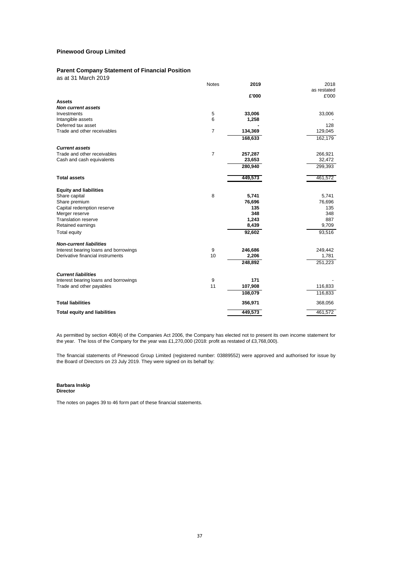# **Parent Company Statement of Financial Position**

as at 31 March 2019

|                                       | <b>Notes</b>   | 2019    | 2018        |
|---------------------------------------|----------------|---------|-------------|
|                                       |                |         | as restated |
|                                       |                | £'000   | £'000       |
| <b>Assets</b>                         |                |         |             |
| <b>Non current assets</b>             |                |         |             |
| Investments                           | 5              | 33,006  | 33,006      |
| Intangible assets                     | 6              | 1,258   |             |
| Deferred tax asset                    |                |         | 128         |
| Trade and other receivables           | $\overline{7}$ | 134,369 | 129,045     |
|                                       |                | 168,633 | 162,179     |
| <b>Current assets</b>                 |                |         |             |
| Trade and other receivables           | $\overline{7}$ | 257,287 | 266,921     |
| Cash and cash equivalents             |                | 23,653  | 32,472      |
|                                       |                | 280,940 | 299,393     |
| <b>Total assets</b>                   |                | 449,573 | 461,572     |
| <b>Equity and liabilities</b>         |                |         |             |
| Share capital                         | 8              | 5,741   | 5,741       |
| Share premium                         |                | 76,696  | 76,696      |
| Capital redemption reserve            |                | 135     | 135         |
| Merger reserve                        |                | 348     | 348         |
| <b>Translation reserve</b>            |                | 1,243   | 887         |
| Retained earnings                     |                | 8,439   | 9,709       |
| <b>Total equity</b>                   |                | 92,602  | 93,516      |
| <b>Non-current liabilities</b>        |                |         |             |
| Interest bearing loans and borrowings | 9              | 246,686 | 249,442     |
| Derivative financial instruments      | 10             | 2,206   | 1,781       |
|                                       |                | 248,892 | 251,223     |
| <b>Current liabilities</b>            |                |         |             |
| Interest bearing loans and borrowings | 9              | 171     |             |
| Trade and other payables              | 11             | 107,908 | 116,833     |
|                                       |                | 108,079 | 116,833     |
| <b>Total liabilities</b>              |                | 356,971 | 368,056     |
|                                       |                | 449,573 | 461,572     |
| <b>Total equity and liabilities</b>   |                |         |             |

As permitted by section 408(4) of the Companies Act 2006, the Company has elected not to present its own income statement for the year. The loss of the Company for the year was £1,270,000 (2018: profit as restated of £3,768,000).

The financial statements of Pinewood Group Limited (registered number: 03889552) were approved and authorised for issue by the Board of Directors on 23 July 2019. They were signed on its behalf by:

# **Barbara Inskip**

**Director**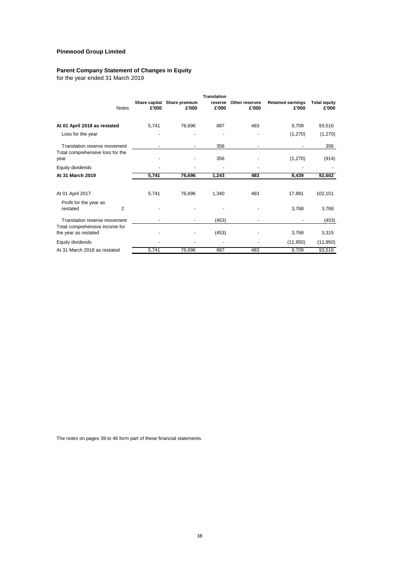# **Parent Company Statement of Changes in Equity**

for the year ended 31 March 2019

|                                                        | <b>Notes</b>   | £'000 | Share capital Share premium<br>£'000 | <b>Translation</b><br>reserve<br>£'000 | Other reserves<br>£'000 | <b>Retained earnings</b><br>£'000 | <b>Total equity</b><br>£'000 |
|--------------------------------------------------------|----------------|-------|--------------------------------------|----------------------------------------|-------------------------|-----------------------------------|------------------------------|
| At 01 April 2018 as restated                           |                | 5,741 | 76,696                               | 887                                    | 483                     | 9,709                             | 93,516                       |
| Loss for the year                                      |                |       |                                      |                                        |                         | (1,270)                           | (1,270)                      |
| Translation reserve movement                           |                |       |                                      | 356                                    |                         |                                   | 356                          |
| Total comprehensive loss for the<br>year               |                |       |                                      | 356                                    |                         | (1,270)                           | (914)                        |
| Equity dividends                                       |                |       |                                      |                                        |                         |                                   |                              |
| At 31 March 2019                                       |                | 5,741 | 76,696                               | 1,243                                  | 483                     | 8,439                             | 92,602                       |
| At 01 April 2017                                       |                | 5,741 | 76,696                               | 1,340                                  | 483                     | 17,891                            | 102,151                      |
| Profit for the year as<br>restated                     | $\overline{2}$ |       |                                      |                                        |                         | 3,768                             | 3,768                        |
| Translation reserve movement                           |                |       |                                      | (453)                                  |                         |                                   | (453)                        |
| Total comprehensive income for<br>the year as restated |                |       |                                      | (453)                                  |                         | 3,768                             | 3,315                        |
| Equity dividends                                       |                |       |                                      |                                        |                         | (11, 950)                         | (11, 950)                    |
| At 31 March 2018 as restated                           |                | 5,741 | 76,696                               | 887                                    | 483                     | 9,709                             | 93,516                       |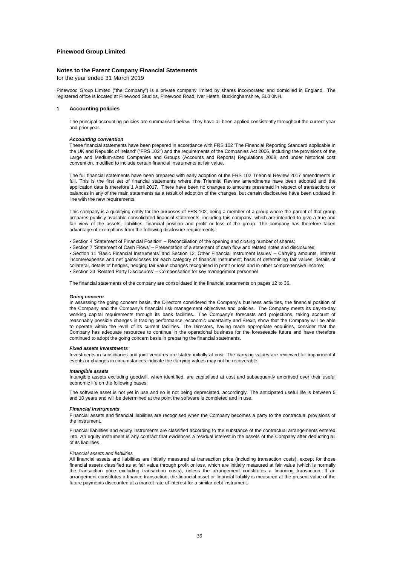### **Notes to the Parent Company Financial Statements**

for the year ended 31 March 2019

Pinewood Group Limited ("the Company") is a private company limited by shares incorporated and domiciled in England. The registered office is located at Pinewood Studios, Pinewood Road, Iver Heath, Buckinghamshire, SL0 0NH.

#### **1 Accounting policies**

The principal accounting policies are summarised below. They have all been applied consistently throughout the current year and prior year.

#### *Accounting convention*

These financial statements have been prepared in accordance with FRS 102 'The Financial Reporting Standard applicable in the UK and Republic of Ireland' ("FRS 102") and the requirements of the Companies Act 2006, including the provisions of the Large and Medium-sized Companies and Groups (Accounts and Reports) Regulations 2008, and under historical cost convention, modified to include certain financial instruments at fair value.

The full financial statements have been prepared with early adoption of the FRS 102 Triennial Review 2017 amendments in full. This is the first set of financial statements where the Triennial Review amendments have been adopted and the application date is therefore 1 April 2017. There have been no changes to amounts presented in respect of transactions or balances in any of the main statements as a result of adoption of the changes, but certain disclosures have been updated in line with the new requirements.

This company is a qualifying entity for the purposes of FRS 102, being a member of a group where the parent of that group prepares publicly available consolidated financial statements, including this company, which are intended to give a true and fair view of the assets, liabilities, financial position and profit or loss of the group. The company has therefore taken advantage of exemptions from the following disclosure requirements:

• Section 4 'Statement of Financial Position' – Reconciliation of the opening and closing number of shares;

• Section 7 'Statement of Cash Flows' – Presentation of a statement of cash flow and related notes and disclosures;

• Section 11 'Basic Financial Instruments' and Section 12 'Other Financial Instrument Issues' – Carrying amounts, interest income/expense and net gains/losses for each category of financial instrument; basis of determining fair values; details of collateral, details of hedges, hedging fair value changes recognised in profit or loss and in other comprehensive income; • Section 33 'Related Party Disclosures' – Compensation for key management personnel.

The financial statements of the company are consolidated in the financial statements on pages 12 to 36.

#### *Going concern*

In assessing the going concern basis, the Directors considered the Company's business activities, the financial position of the Company and the Company's financial risk management objectives and policies. The Company meets its day-to-day working capital requirements through its bank facilities. The Company's forecasts and projections, taking account of reasonably possible changes in trading performance, economic uncertainty and Brexit, show that the Company will be able to operate within the level of its current facilities. The Directors, having made appropriate enquiries, consider that the Company has adequate resources to continue in the operational business for the foreseeable future and have therefore continued to adopt the going concern basis in preparing the financial statements.

#### *Fixed assets investments*

Investments in subsidiaries and joint ventures are stated initially at cost. The carrying values are reviewed for impairment if events or changes in circumstances indicate the carrying values may not be recoverable.

#### *Intangible assets*

Intangible assets excluding goodwill, when identified, are capitalised at cost and subsequently amortised over their useful economic life on the following bases:

The software asset is not yet in use and so is not being depreciated, accordingly. The anticipated useful life is between 5 and 10 years and will be determined at the point the software is completed and in use.

#### *Financial instruments*

Financial assets and financial liabilities are recognised when the Company becomes a party to the contractual provisions of the instrument.

Financial liabilities and equity instruments are classified according to the substance of the contractual arrangements entered into. An equity instrument is any contract that evidences a residual interest in the assets of the Company after deducting all of its liabilities.

#### *Financial assets and liabilities*

All financial assets and liabilities are initially measured at transaction price (including transaction costs), except for those financial assets classified as at fair value through profit or loss, which are initially measured at fair value (which is normally the transaction price excluding transaction costs), unless the arrangement constitutes a financing transaction. If an arrangement constitutes a finance transaction, the financial asset or financial liability is measured at the present value of the future payments discounted at a market rate of interest for a similar debt instrument.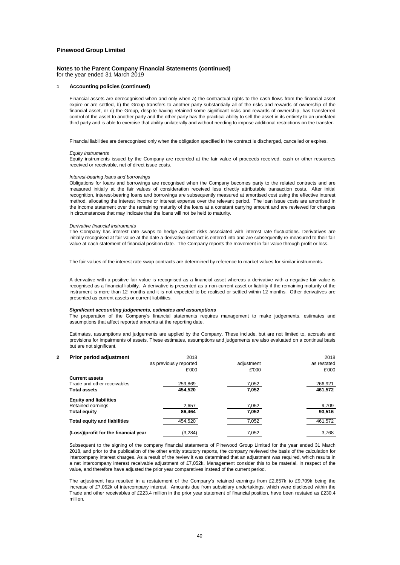# **Notes to the Parent Company Financial Statements (continued)**

for the year ended 31 March 2019

### **1 Accounting policies (continued)**

Financial assets are derecognised when and only when a) the contractual rights to the cash flows from the financial asset expire or are settled, b) the Group transfers to another party substantially all of the risks and rewards of ownership of the financial asset, or c) the Group, despite having retained some significant risks and rewards of ownership, has transferred control of the asset to another party and the other party has the practical ability to sell the asset in its entirety to an unrelated third party and is able to exercise that ability unilaterally and without needing to impose additional restrictions on the transfer.

Financial liabilities are derecognised only when the obligation specified in the contract is discharged, cancelled or expires.

#### *Equity instruments*

Equity instruments issued by the Company are recorded at the fair value of proceeds received, cash or other resources received or receivable, net of direct issue costs.

#### *Interest-bearing loans and borrowings*

Obligations for loans and borrowings are recognised when the Company becomes party to the related contracts and are measured initially at the fair values of consideration received less directly attributable transaction costs. After initial recognition, interest-bearing loans and borrowings are subsequently measured at amortised cost using the effective interest method, allocating the interest income or interest expense over the relevant period. The loan issue costs are amortised in the income statement over the remaining maturity of the loans at a constant carrying amount and are reviewed for changes in circumstances that may indicate that the loans will not be held to maturity.

#### *Derivative financial instruments*

The Company has interest rate swaps to hedge against risks associated with interest rate fluctuations. Derivatives are initially recognised at fair value at the date a derivative contract is entered into and are subsequently re-measured to their fair value at each statement of financial position date. The Company reports the movement in fair value through profit or loss.

The fair values of the interest rate swap contracts are determined by reference to market values for similar instruments.

A derivative with a positive fair value is recognised as a financial asset whereas a derivative with a negative fair value is recognised as a financial liability. A derivative is presented as a non-current asset or liability if the remaining maturity of the instrument is more than 12 months and it is not expected to be realised or settled within 12 months. Other derivatives are presented as current assets or current liabilities.

#### *Significant accounting judgements, estimates and assumptions*

The preparation of the Company's financial statements requires management to make judgements, estimates and assumptions that affect reported amounts at the reporting date.

Estimates, assumptions and judgements are applied by the Company. These include, but are not limited to, accruals and provisions for impairments of assets. These estimates, assumptions and judgements are also evaluated on a continual basis but are not significant.

| $\mathbf{z}$ | <b>Prior period adjustment</b>       | 2018                   |            | 2018        |
|--------------|--------------------------------------|------------------------|------------|-------------|
|              |                                      | as previously reported | adjustment | as restated |
|              |                                      | £'000                  | £'000      | £'000       |
|              | <b>Current assets</b>                |                        |            |             |
|              | Trade and other receivables          | 259,869                | 7,052      | 266,921     |
|              | <b>Total assets</b>                  | 454.520                | 7,052      | 461,572     |
|              | <b>Equity and liabilities</b>        |                        |            |             |
|              | Retained earnings                    | 2,657                  | 7,052      | 9,709       |
|              | <b>Total equity</b>                  | 86,464                 | 7,052      | 93,516      |
|              | <b>Total equity and liabilities</b>  | 454,520                | 7,052      | 461,572     |
|              | (Loss)/profit for the financial year | (3,284)                | 7,052      | 3,768       |

Subsequent to the signing of the company financial statements of Pinewood Group Limited for the year ended 31 March 2018, and prior to the publication of the other entity statutory reports, the company reviewed the basis of the calculation for intercompany interest charges. As a result of the review it was determined that an adjustment was required, which results in a net intercompany interest receivable adjustment of £7,052k. Management consider this to be material, in respect of the value, and therefore have adjusted the prior year comparatives instead of the current period.

The adjustment has resulted in a restatement of the Company's retained earnings from £2,657k to £9,709k being the increase of £7,052k of intercompany interest. Amounts due from subsidiary undertakings, which were disclosed within the Trade and other receivables of £223.4 million in the prior year statement of financial position, have been restated as £230.4 million.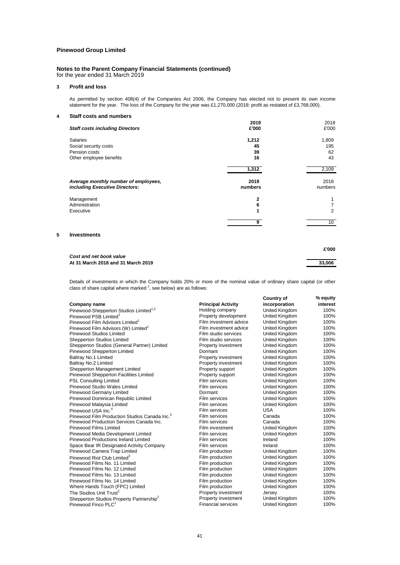#### **Notes to the Parent Company Financial Statements (continued)**

for the year ended 31 March 2019

# **3 Profit and loss**

As permitted by section 408(4) of the Companies Act 2006, the Company has elected not to present its own income statement for the year. The loss of the Company for the year was £1,270,000 (2018: profit as restated of £3,768,000).

# **4 Staff costs and numbers**

|                                        | 2019    | 2018    |
|----------------------------------------|---------|---------|
| <b>Staff costs including Directors</b> | £'000   | £'000   |
| <b>Salaries</b>                        | 1,212   | 1,809   |
| Social security costs                  | 45      | 195     |
| Pension costs                          | 39      | 62      |
| Other employee benefits                | 16      | 43      |
|                                        | 1,312   | 2,109   |
| Average monthly number of employees,   | 2019    | 2018    |
| including Executive Directors:         | numbers | numbers |
| Management                             | 2       |         |
| Administration                         | 6       |         |
| Executive                              |         | 2       |
|                                        | 9       | 10      |

### **5 Investments**

|                                    | £'000  |
|------------------------------------|--------|
| Cost and net book value            |        |
| At 31 March 2018 and 31 March 2019 | 33.006 |
|                                    |        |

Details of investments in which the Company holds 20% or more of the nominal value of ordinary share capital (or other class of share capital where marked  $2$ , see below) are as follows:

|                                                           |                           | <b>Country of</b>     | % equity |
|-----------------------------------------------------------|---------------------------|-----------------------|----------|
| Company name                                              | <b>Principal Activity</b> | incorporation         | interest |
| Pinewood-Shepperton Studios Limited <sup>1,2</sup>        | Holding company           | <b>United Kingdom</b> | 100%     |
| Pinewood PSB Limited <sup>1</sup>                         | Property development      | <b>United Kingdom</b> | 100%     |
| Pinewood Film Advisors Limited <sup>1</sup>               | Film investment advice    | United Kingdom        | 100%     |
| Pinewood Film Advisors (W) Limited <sup>1</sup>           | Film investment advice    | <b>United Kingdom</b> | 100%     |
| Pinewood Studios Limited                                  | Film studio services      | <b>United Kingdom</b> | 100%     |
| <b>Shepperton Studios Limited</b>                         | Film studio services      | <b>United Kingdom</b> | 100%     |
| Shepperton Studios (General Partner) Limited              | Property investment       | <b>United Kingdom</b> | 100%     |
| Pinewood Shepperton Limited                               | Dormant                   | <b>United Kingdom</b> | 100%     |
| Baltray No.1 Limited                                      | Property investment       | <b>United Kingdom</b> | 100%     |
| Baltray No.2 Limited                                      | Property investment       | <b>United Kingdom</b> | 100%     |
| Shepperton Management Limited                             | Property support          | <b>United Kingdom</b> | 100%     |
| Pinewood Shepperton Facilities Limited                    | Property support          | <b>United Kingdom</b> | 100%     |
| <b>PSL Consulting Limited</b>                             | Film services             | <b>United Kingdom</b> | 100%     |
| Pinewood Studio Wales Limited                             | Film services             | United Kingdom        | 100%     |
| Pinewood Germany Limited                                  | Dormant                   | <b>United Kingdom</b> | 100%     |
| Pinewood Dominican Republic Limited                       | Film services             | <b>United Kingdom</b> | 100%     |
| Pinewood Malaysia Limited                                 | Film services             | United Kingdom        | 100%     |
| Pinewood USA Inc. <sup>4</sup>                            | Film services             | <b>USA</b>            | 100%     |
| Pinewood Film Production Studios Canada Inc. <sup>5</sup> | Film services             | Canada                | 100%     |
| Pinewood Production Services Canada Inc.                  | Film services             | Canada                | 100%     |
| <b>Pinewood Films Limited</b>                             | Film investment           | <b>United Kingdom</b> | 100%     |
| Pinewood Media Development Limited                        | Film services             | <b>United Kingdom</b> | 100%     |
| <b>Pinewood Productions Ireland Limited</b>               | Film services             | Ireland               | 100%     |
| Space Bear IR Designated Activity Company                 | Film services             | Ireland               | 100%     |
| Pinewood Camera Trap Limited                              | Film production           | United Kingdom        | 100%     |
| Pinewood Riot Club Limited <sup>3</sup>                   | Film production           | <b>United Kingdom</b> | 100%     |
| Pinewood Films No. 11 Limited                             | Film production           | <b>United Kingdom</b> | 100%     |
| Pinewood Films No. 12 Limited                             | Film production           | <b>United Kingdom</b> | 100%     |
| Pinewood Films No. 13 Limited                             | Film production           | <b>United Kingdom</b> | 100%     |
| Pinewood Films No. 14 Limited                             | Film production           | United Kingdom        | 100%     |
| Where Hands Touch (FPC) Limited                           | Film production           | <b>United Kingdom</b> | 100%     |
| The Studios Unit Trust <sup>2</sup>                       | Property investment       | Jersey                | 100%     |
| Shepperton Studios Property Partnership <sup>2</sup>      | Property investment       | United Kingdom        | 100%     |
| Pinewood Finco PLC <sup>1</sup>                           | <b>Financial services</b> | <b>United Kingdom</b> | 100%     |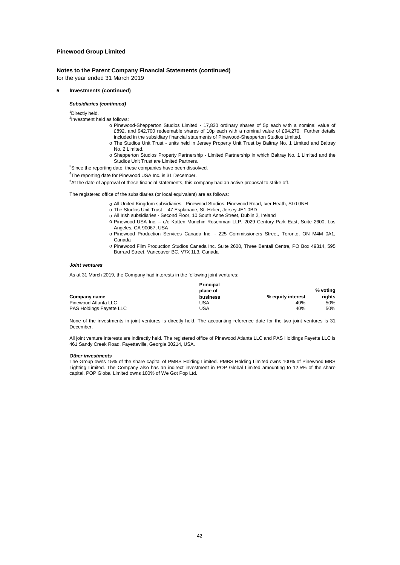# **Notes to the Parent Company Financial Statements (continued)**

for the year ended 31 March 2019

#### **5 Investments (continued)**

#### *Subsidiaries (continued)*

<sup>1</sup>Directly held.

2 Investment held as follows:

- o Pinewood-Shepperton Studios Limited 17,830 ordinary shares of 5p each with a nominal value of £892, and 942,700 redeemable shares of 10p each with a nominal value of £94,270. Further details included in the subsidiary financial statements of Pinewood-Shepperton Studios Limited.
- o The Studios Unit Trust units held in Jersey Property Unit Trust by Baltray No. 1 Limited and Baltray No. 2 Limited.
- o Shepperton Studios Property Partnership Limited Partnership in which Baltray No. 1 Limited and the Studios Unit Trust are Limited Partners.

<sup>3</sup>Since the reporting date, these companies have been dissolved.

<sup>4</sup>The reporting date for Pinewood USA Inc. is 31 December.

<sup>5</sup>At the date of approval of these financial statements, this company had an active proposal to strike off.

The registered office of the subsidiaries (or local equivalent) are as follows:

- o All United Kingdom subsidiaries Pinewood Studios, Pinewood Road, Iver Heath, SL0 0NH
- o The Studios Unit Trust 47 Esplanade, St. Helier, Jersey JE1 0BD
- o All Irish subsidiaries Second Floor, 10 South Anne Street, Dublin 2, Ireland
- o Pinewood USA Inc. c/o Katten Munchin Rosenman LLP, 2029 Century Park East, Suite 2600, Los Angeles, CA 90067, USA
- o Pinewood Production Services Canada Inc. 225 Commissioners Street, Toronto, ON M4M 0A1, Canada
- o Pinewood Film Production Studios Canada Inc. Suite 2600, Three Bentall Centre, PO Box 49314, 595 Burrard Street, Vancouver BC, V7X 1L3, Canada

#### *Joint ventures*

As at 31 March 2019, the Company had interests in the following joint ventures:

|                                 | <b>Principal</b> |                   |          |
|---------------------------------|------------------|-------------------|----------|
|                                 | place of         |                   | % votina |
| Company name                    | business         | % equity interest | riahts   |
| Pinewood Atlanta LLC            | USA              | 40%               | 50%      |
| <b>PAS Holdings Fayette LLC</b> | USA              | 40%               | 50%      |

None of the investments in joint ventures is directly held. The accounting reference date for the two joint ventures is 31 December.

All joint venture interests are indirectly held. The registered office of Pinewood Atlanta LLC and PAS Holdings Fayette LLC is 461 Sandy Creek Road, Fayetteville, Georgia 30214, USA.

#### *Other investments*

The Group owns 15% of the share capital of PMBS Holding Limited. PMBS Holding Limited owns 100% of Pinewood MBS Lighting Limited. The Company also has an indirect investment in POP Global Limited amounting to 12.5% of the share capital. POP Global Limited owns 100% of We Got Pop Ltd.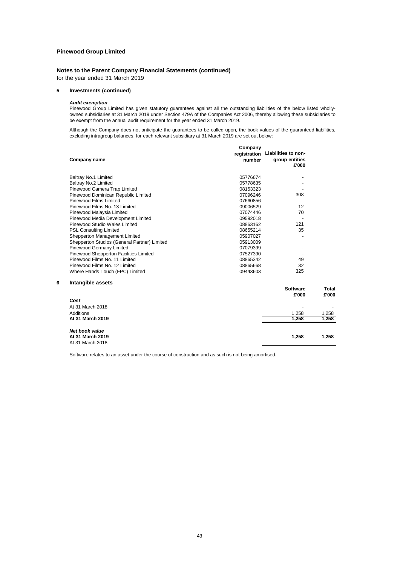# **Notes to the Parent Company Financial Statements (continued)**

for the year ended 31 March 2019

### **5 Investments (continued)**

#### *Audit exemption*

Pinewood Group Limited has given statutory guarantees against all the outstanding liabilities of the below listed whollyowned subsidiaries at 31 March 2019 under Section 479A of the Companies Act 2006, thereby allowing these subsidiaries to be exempt from the annual audit requirement for the year ended 31 March 2019.

Although the Company does not anticipate the guarantees to be called upon, the book values of the guaranteed liabilities, excluding intragroup balances, for each relevant subsidiary at 31 March 2019 are set out below:

|   | Company name                                 | Company<br>registration<br>number | Liabilities to non-<br>group entities |                |
|---|----------------------------------------------|-----------------------------------|---------------------------------------|----------------|
|   |                                              |                                   | £'000                                 |                |
|   | Baltray No.1 Limited                         | 05776674                          |                                       |                |
|   | Baltray No.2 Limited                         | 05778635                          |                                       |                |
|   | Pinewood Camera Trap Limited                 | 08153323                          |                                       |                |
|   | Pinewood Dominican Republic Limited          | 07096246                          | 308                                   |                |
|   | Pinewood Films Limited                       | 07660856                          |                                       |                |
|   | Pinewood Films No. 13 Limited                | 09006529                          | 12                                    |                |
|   | Pinewood Malaysia Limited                    | 07074446                          | 70                                    |                |
|   | Pinewood Media Development Limited           | 09592018                          |                                       |                |
|   | Pinewood Studio Wales Limited                | 08863162                          | 121                                   |                |
|   | <b>PSL Consulting Limited</b>                | 08655214                          | 35                                    |                |
|   | Shepperton Management Limited                | 05907027                          |                                       |                |
|   | Shepperton Studios (General Partner) Limited | 05913009                          |                                       |                |
|   | Pinewood Germany Limited                     | 07079399                          |                                       |                |
|   | Pinewood Shepperton Facilities Limited       | 07527390                          |                                       |                |
|   | Pinewood Films No. 11 Limited                | 08865342                          | 49                                    |                |
|   | Pinewood Films No. 12 Limited                | 08865668                          | 32                                    |                |
|   | Where Hands Touch (FPC) Limited              | 09443603                          | 325                                   |                |
| 6 | Intangible assets                            |                                   |                                       |                |
|   |                                              |                                   | <b>Software</b><br>£'000              | Total<br>£'000 |
|   | $\sim$ $\sim$ $\sim$                         |                                   |                                       |                |

|                                           | --------<br>£'000        | .<br>£'000 |
|-------------------------------------------|--------------------------|------------|
| Cost                                      |                          |            |
| At 31 March 2018                          | $\overline{\phantom{0}}$ |            |
| Additions                                 | 1.258                    | 1,258      |
| At 31 March 2019                          | 1,258                    | 1,258      |
| <b>Net book value</b><br>At 31 March 2019 | 1,258                    | 1,258      |
|                                           |                          |            |
| At 31 March 2018                          | $\overline{\phantom{0}}$ |            |

Software relates to an asset under the course of construction and as such is not being amortised.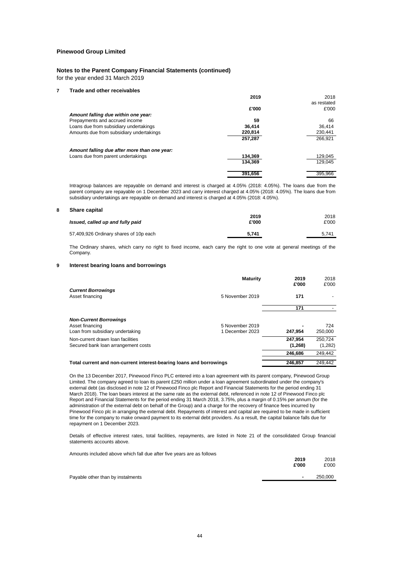# **Notes to the Parent Company Financial Statements (continued)**

for the year ended 31 March 2019

### **7 Trade and other receivables**

|                                              | 2019    | 2018        |
|----------------------------------------------|---------|-------------|
|                                              |         | as restated |
|                                              | £'000   | £'000       |
| Amount falling due within one year:          |         |             |
| Prepayments and accrued income               | 59      | 66          |
| Loans due from subsidiary undertakings       | 36.414  | 36.414      |
| Amounts due from subsidiary undertakings     | 220,814 | 230,441     |
|                                              | 257.287 | 266.921     |
| Amount falling due after more than one year: |         |             |
| Loans due from parent undertakings           | 134,369 | 129,045     |
|                                              | 134,369 | 129,045     |
|                                              | 391.656 | 395.966     |

Intragroup balances are repayable on demand and interest is charged at 4.05% (2018: 4.05%). The loans due from the parent company are repayable on 1 December 2023 and carry interest charged at 4.05% (2018: 4.05%). The loans due from subsidiary undertakings are repayable on demand and interest is charged at 4.05% (2018: 4.05%).

### **8 Share capital**

| Issued, called up and fully paid       | 2019<br>£'000 | 2018<br>£'000 |
|----------------------------------------|---------------|---------------|
| 57,409,926 Ordinary shares of 10p each | 5.741         | 5.741         |

The Ordinary shares, which carry no right to fixed income, each carry the right to one vote at general meetings of the Company.

#### **9 Interest bearing loans and borrowings**

|                                                                     | <b>Maturity</b> | 2019<br>£'000 | 2018<br>£'000 |
|---------------------------------------------------------------------|-----------------|---------------|---------------|
| <b>Current Borrowings</b><br>Asset financing                        | 5 November 2019 | 171           |               |
|                                                                     |                 |               |               |
|                                                                     |                 | 171           |               |
| <b>Non-Current Borrowings</b>                                       |                 |               |               |
| Asset financing                                                     | 5 November 2019 |               | 724           |
| Loan from subsidiary undertaking                                    | 1 December 2023 | 247.954       | 250,000       |
| Non-current drawn loan facilities                                   |                 | 247.954       | 250.724       |
| Secured bank loan arrangement costs                                 |                 | (1,268)       | (1,282)       |
|                                                                     |                 | 246.686       | 249,442       |
| Total current and non-current interest-bearing loans and borrowings |                 | 246.857       | 249,442       |

On the 13 December 2017, Pinewood Finco PLC entered into a loan agreement with its parent company, Pinewood Group Limited. The company agreed to loan its parent £250 million under a loan agreement subordinated under the company's external debt (as disclosed in note 12 of Pinewood Finco plc Report and Financial Statements for the period ending 31 March 2018). The loan bears interest at the same rate as the external debt, referenced in note 12 of Pinewood Finco plc Report and Financial Statements for the period ending 31 March 2018, 3.75%, plus a margin of 0.15% per annum (for the administration of the external debt on behalf of the Group) and a charge for the recovery of finance fees incurred by Pinewood Finco plc in arranging the external debt. Repayments of interest and capital are required to be made in sufficient time for the company to make onward payment to its external debt providers. As a result, the capital balance falls due for repayment on 1 December 2023.

Details of effective interest rates, total facilities, repayments, are listed in Note 21 of the consolidated Group financial statements accounts above.

Amounts included above which fall due after five years are as follows

|                                   | 2019  | 2018    |
|-----------------------------------|-------|---------|
|                                   | £'000 | £'000   |
| Payable other than by instalments | ٠     | 250.000 |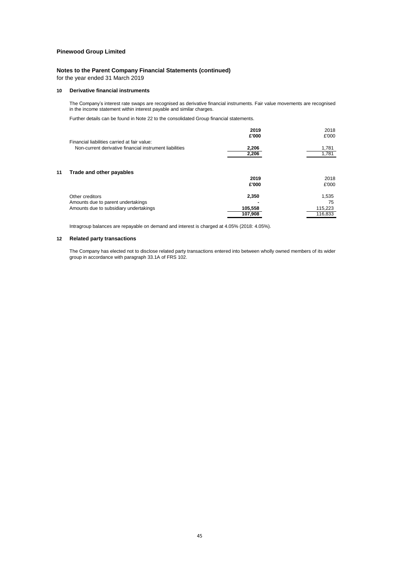# **Notes to the Parent Company Financial Statements (continued)**

for the year ended 31 March 2019

### **10 Derivative financial instruments**

The Company's interest rate swaps are recognised as derivative financial instruments. Fair value movements are recognised in the income statement within interest payable and similar charges.

Further details can be found in Note 22 to the consolidated Group financial statements.

|    |                                                                                                         | 2019<br>£'000  | 2018<br>£'000  |
|----|---------------------------------------------------------------------------------------------------------|----------------|----------------|
|    | Financial liabilities carried at fair value:<br>Non-current derivative financial instrument liabilities | 2,206<br>2.206 | 1,781<br>1.781 |
| 11 | Trade and other payables                                                                                |                |                |
|    |                                                                                                         | 2019           | 2018           |
|    |                                                                                                         | £'000          | £'000          |
|    | Other creditors                                                                                         | 2,350          | 1,535          |
|    | Amounts due to parent undertakings                                                                      |                | 75             |
|    | Amounts due to subsidiary undertakings                                                                  | 105,558        | 115,223        |
|    |                                                                                                         | 107,908        | 116.833        |

Intragroup balances are repayable on demand and interest is charged at 4.05% (2018: 4.05%).

# **12 Related party transactions**

The Company has elected not to disclose related party transactions entered into between wholly owned members of its wider group in accordance with paragraph 33.1A of FRS 102.